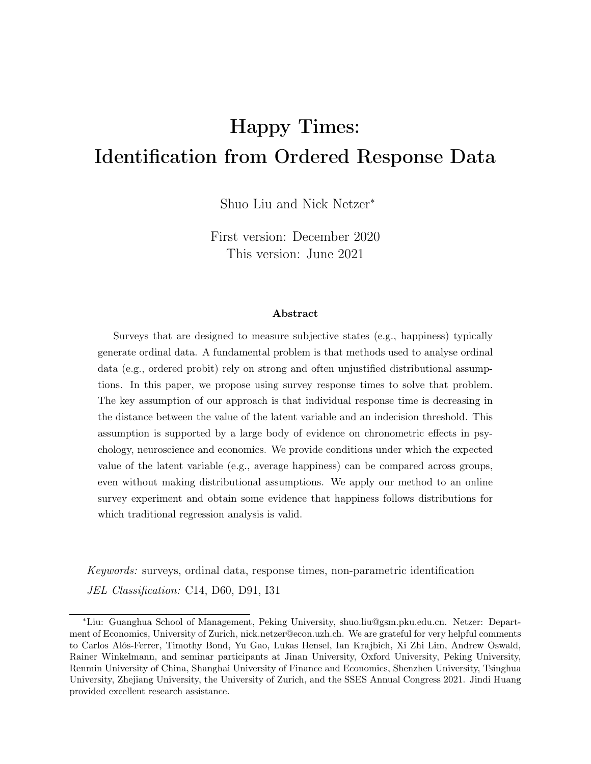# Happy Times: Identification from Ordered Response Data

Shuo Liu and Nick Netzer<sup>∗</sup>

First version: December 2020 This version: June 2021

#### Abstract

Surveys that are designed to measure subjective states (e.g., happiness) typically generate ordinal data. A fundamental problem is that methods used to analyse ordinal data (e.g., ordered probit) rely on strong and often unjustified distributional assumptions. In this paper, we propose using survey response times to solve that problem. The key assumption of our approach is that individual response time is decreasing in the distance between the value of the latent variable and an indecision threshold. This assumption is supported by a large body of evidence on chronometric effects in psychology, neuroscience and economics. We provide conditions under which the expected value of the latent variable (e.g., average happiness) can be compared across groups, even without making distributional assumptions. We apply our method to an online survey experiment and obtain some evidence that happiness follows distributions for which traditional regression analysis is valid.

Keywords: surveys, ordinal data, response times, non-parametric identification JEL Classification: C14, D60, D91, I31

<sup>∗</sup>Liu: Guanghua School of Management, Peking University, shuo.liu@gsm.pku.edu.cn. Netzer: Department of Economics, University of Zurich, nick.netzer@econ.uzh.ch. We are grateful for very helpful comments to Carlos Alós-Ferrer, Timothy Bond, Yu Gao, Lukas Hensel, Ian Krajbich, Xi Zhi Lim, Andrew Oswald, Rainer Winkelmann, and seminar participants at Jinan University, Oxford University, Peking University, Renmin University of China, Shanghai University of Finance and Economics, Shenzhen University, Tsinghua University, Zhejiang University, the University of Zurich, and the SSES Annual Congress 2021. Jindi Huang provided excellent research assistance.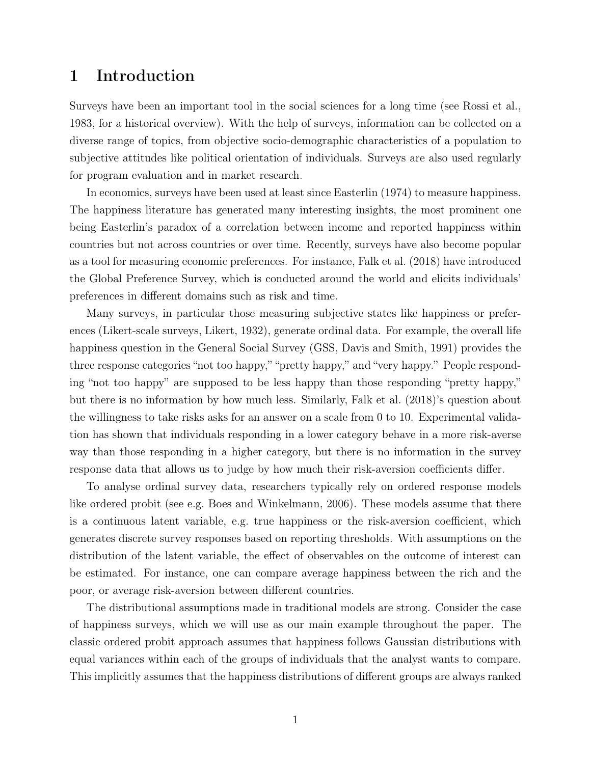# 1 Introduction

Surveys have been an important tool in the social sciences for a long time (see Rossi et al., 1983, for a historical overview). With the help of surveys, information can be collected on a diverse range of topics, from objective socio-demographic characteristics of a population to subjective attitudes like political orientation of individuals. Surveys are also used regularly for program evaluation and in market research.

In economics, surveys have been used at least since Easterlin (1974) to measure happiness. The happiness literature has generated many interesting insights, the most prominent one being Easterlin's paradox of a correlation between income and reported happiness within countries but not across countries or over time. Recently, surveys have also become popular as a tool for measuring economic preferences. For instance, Falk et al. (2018) have introduced the Global Preference Survey, which is conducted around the world and elicits individuals' preferences in different domains such as risk and time.

Many surveys, in particular those measuring subjective states like happiness or preferences (Likert-scale surveys, Likert, 1932), generate ordinal data. For example, the overall life happiness question in the General Social Survey (GSS, Davis and Smith, 1991) provides the three response categories "not too happy," "pretty happy," and "very happy." People responding "not too happy" are supposed to be less happy than those responding "pretty happy," but there is no information by how much less. Similarly, Falk et al. (2018)'s question about the willingness to take risks asks for an answer on a scale from 0 to 10. Experimental validation has shown that individuals responding in a lower category behave in a more risk-averse way than those responding in a higher category, but there is no information in the survey response data that allows us to judge by how much their risk-aversion coefficients differ.

To analyse ordinal survey data, researchers typically rely on ordered response models like ordered probit (see e.g. Boes and Winkelmann, 2006). These models assume that there is a continuous latent variable, e.g. true happiness or the risk-aversion coefficient, which generates discrete survey responses based on reporting thresholds. With assumptions on the distribution of the latent variable, the effect of observables on the outcome of interest can be estimated. For instance, one can compare average happiness between the rich and the poor, or average risk-aversion between different countries.

The distributional assumptions made in traditional models are strong. Consider the case of happiness surveys, which we will use as our main example throughout the paper. The classic ordered probit approach assumes that happiness follows Gaussian distributions with equal variances within each of the groups of individuals that the analyst wants to compare. This implicitly assumes that the happiness distributions of different groups are always ranked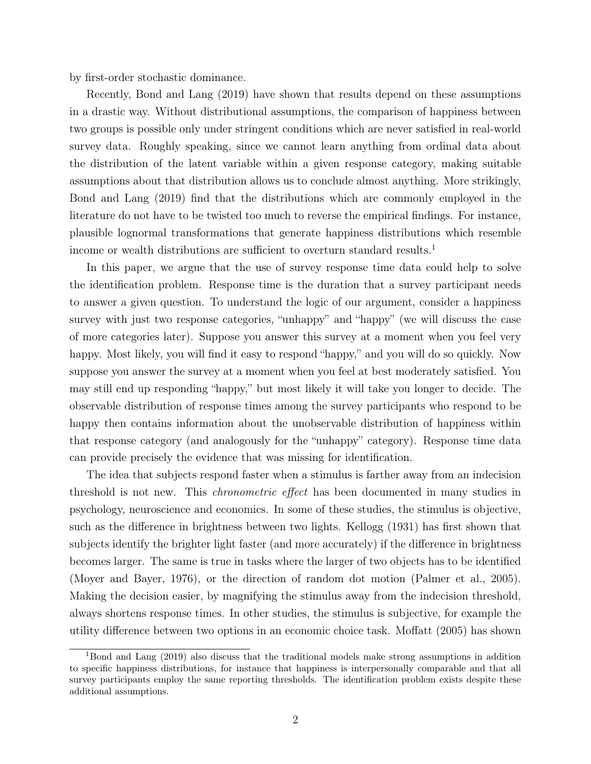by first-order stochastic dominance.

Recently, Bond and Lang (2019) have shown that results depend on these assumptions in a drastic way. Without distributional assumptions, the comparison of happiness between two groups is possible only under stringent conditions which are never satisfied in real-world survey data. Roughly speaking, since we cannot learn anything from ordinal data about the distribution of the latent variable within a given response category, making suitable assumptions about that distribution allows us to conclude almost anything. More strikingly, Bond and Lang (2019) find that the distributions which are commonly employed in the literature do not have to be twisted too much to reverse the empirical findings. For instance, plausible lognormal transformations that generate happiness distributions which resemble income or wealth distributions are sufficient to overturn standard results.<sup>1</sup>

In this paper, we argue that the use of survey response time data could help to solve the identification problem. Response time is the duration that a survey participant needs to answer a given question. To understand the logic of our argument, consider a happiness survey with just two response categories, "unhappy" and "happy" (we will discuss the case of more categories later). Suppose you answer this survey at a moment when you feel very happy. Most likely, you will find it easy to respond "happy," and you will do so quickly. Now suppose you answer the survey at a moment when you feel at best moderately satisfied. You may still end up responding "happy," but most likely it will take you longer to decide. The observable distribution of response times among the survey participants who respond to be happy then contains information about the unobservable distribution of happiness within that response category (and analogously for the "unhappy" category). Response time data can provide precisely the evidence that was missing for identification.

The idea that subjects respond faster when a stimulus is farther away from an indecision threshold is not new. This chronometric effect has been documented in many studies in psychology, neuroscience and economics. In some of these studies, the stimulus is objective, such as the difference in brightness between two lights. Kellogg (1931) has first shown that subjects identify the brighter light faster (and more accurately) if the difference in brightness becomes larger. The same is true in tasks where the larger of two objects has to be identified (Moyer and Bayer, 1976), or the direction of random dot motion (Palmer et al., 2005). Making the decision easier, by magnifying the stimulus away from the indecision threshold, always shortens response times. In other studies, the stimulus is subjective, for example the utility difference between two options in an economic choice task. Moffatt (2005) has shown

<sup>&</sup>lt;sup>1</sup>Bond and Lang (2019) also discuss that the traditional models make strong assumptions in addition to specific happiness distributions, for instance that happiness is interpersonally comparable and that all survey participants employ the same reporting thresholds. The identification problem exists despite these additional assumptions.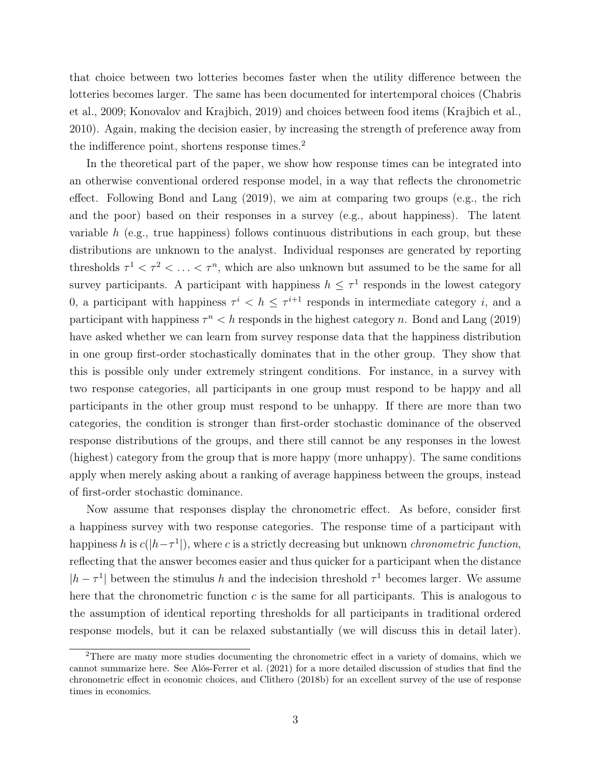that choice between two lotteries becomes faster when the utility difference between the lotteries becomes larger. The same has been documented for intertemporal choices (Chabris et al., 2009; Konovalov and Krajbich, 2019) and choices between food items (Krajbich et al., 2010). Again, making the decision easier, by increasing the strength of preference away from the indifference point, shortens response times.<sup>2</sup>

In the theoretical part of the paper, we show how response times can be integrated into an otherwise conventional ordered response model, in a way that reflects the chronometric effect. Following Bond and Lang (2019), we aim at comparing two groups (e.g., the rich and the poor) based on their responses in a survey (e.g., about happiness). The latent variable  $h$  (e.g., true happiness) follows continuous distributions in each group, but these distributions are unknown to the analyst. Individual responses are generated by reporting thresholds  $\tau^1 < \tau^2 < \ldots < \tau^n$ , which are also unknown but assumed to be the same for all survey participants. A participant with happiness  $h \leq \tau^1$  responds in the lowest category 0, a participant with happiness  $\tau^i < h \leq \tau^{i+1}$  responds in intermediate category i, and a participant with happiness  $\tau^n < h$  responds in the highest category n. Bond and Lang (2019) have asked whether we can learn from survey response data that the happiness distribution in one group first-order stochastically dominates that in the other group. They show that this is possible only under extremely stringent conditions. For instance, in a survey with two response categories, all participants in one group must respond to be happy and all participants in the other group must respond to be unhappy. If there are more than two categories, the condition is stronger than first-order stochastic dominance of the observed response distributions of the groups, and there still cannot be any responses in the lowest (highest) category from the group that is more happy (more unhappy). The same conditions apply when merely asking about a ranking of average happiness between the groups, instead of first-order stochastic dominance.

Now assume that responses display the chronometric effect. As before, consider first a happiness survey with two response categories. The response time of a participant with happiness h is  $c(|h-\tau^1|)$ , where c is a strictly decreasing but unknown *chronometric function*, reflecting that the answer becomes easier and thus quicker for a participant when the distance  $|h - \tau^1|$  between the stimulus h and the indecision threshold  $\tau^1$  becomes larger. We assume here that the chronometric function  $c$  is the same for all participants. This is analogous to the assumption of identical reporting thresholds for all participants in traditional ordered response models, but it can be relaxed substantially (we will discuss this in detail later).

<sup>&</sup>lt;sup>2</sup>There are many more studies documenting the chronometric effect in a variety of domains, which we cannot summarize here. See Alós-Ferrer et al. (2021) for a more detailed discussion of studies that find the chronometric effect in economic choices, and Clithero (2018b) for an excellent survey of the use of response times in economics.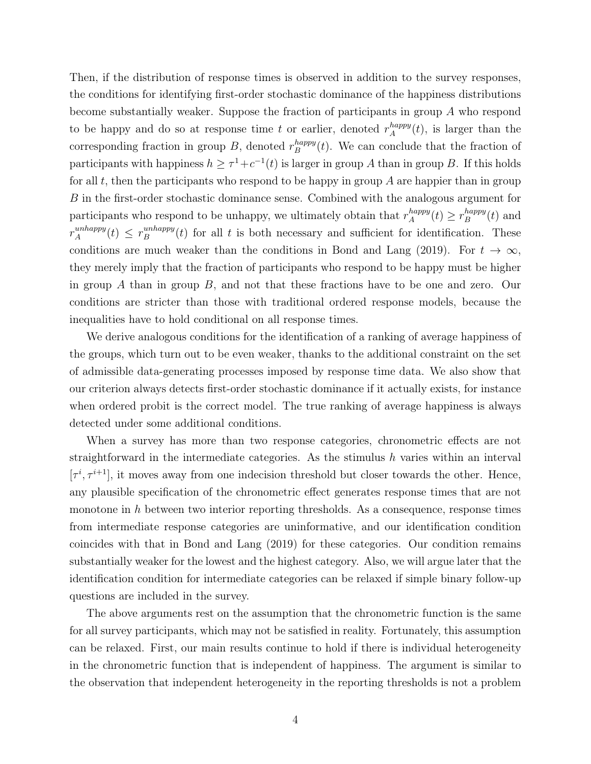Then, if the distribution of response times is observed in addition to the survey responses, the conditions for identifying first-order stochastic dominance of the happiness distributions become substantially weaker. Suppose the fraction of participants in group A who respond to be happy and do so at response time t or earlier, denoted  $r_A^{happy}$  $A^{nappy}(t)$ , is larger than the corresponding fraction in group B, denoted  $r_B^{happy}$  $B^{nappy}(t)$ . We can conclude that the fraction of participants with happiness  $h \geq \tau^1 + c^{-1}(t)$  is larger in group A than in group B. If this holds for all t, then the participants who respond to be happy in group  $A$  are happier than in group B in the first-order stochastic dominance sense. Combined with the analogous argument for participants who respond to be unhappy, we ultimately obtain that  $r_A^{happy}$  $A^{happy}(t) \geq r_B^{happy}$  $B^{nappy}(t)$  and  $r_A^{unhappy}$  $\binom{unhappy}{A}(t) \leq r_B^{unhappy}$  $B_B^{unnappy}(t)$  for all t is both necessary and sufficient for identification. These conditions are much weaker than the conditions in Bond and Lang (2019). For  $t \to \infty$ , they merely imply that the fraction of participants who respond to be happy must be higher in group A than in group B, and not that these fractions have to be one and zero. Our conditions are stricter than those with traditional ordered response models, because the inequalities have to hold conditional on all response times.

We derive analogous conditions for the identification of a ranking of average happiness of the groups, which turn out to be even weaker, thanks to the additional constraint on the set of admissible data-generating processes imposed by response time data. We also show that our criterion always detects first-order stochastic dominance if it actually exists, for instance when ordered probit is the correct model. The true ranking of average happiness is always detected under some additional conditions.

When a survey has more than two response categories, chronometric effects are not straightforward in the intermediate categories. As the stimulus  $h$  varies within an interval  $[\tau^i, \tau^{i+1}]$ , it moves away from one indecision threshold but closer towards the other. Hence, any plausible specification of the chronometric effect generates response times that are not monotone in  $h$  between two interior reporting thresholds. As a consequence, response times from intermediate response categories are uninformative, and our identification condition coincides with that in Bond and Lang (2019) for these categories. Our condition remains substantially weaker for the lowest and the highest category. Also, we will argue later that the identification condition for intermediate categories can be relaxed if simple binary follow-up questions are included in the survey.

The above arguments rest on the assumption that the chronometric function is the same for all survey participants, which may not be satisfied in reality. Fortunately, this assumption can be relaxed. First, our main results continue to hold if there is individual heterogeneity in the chronometric function that is independent of happiness. The argument is similar to the observation that independent heterogeneity in the reporting thresholds is not a problem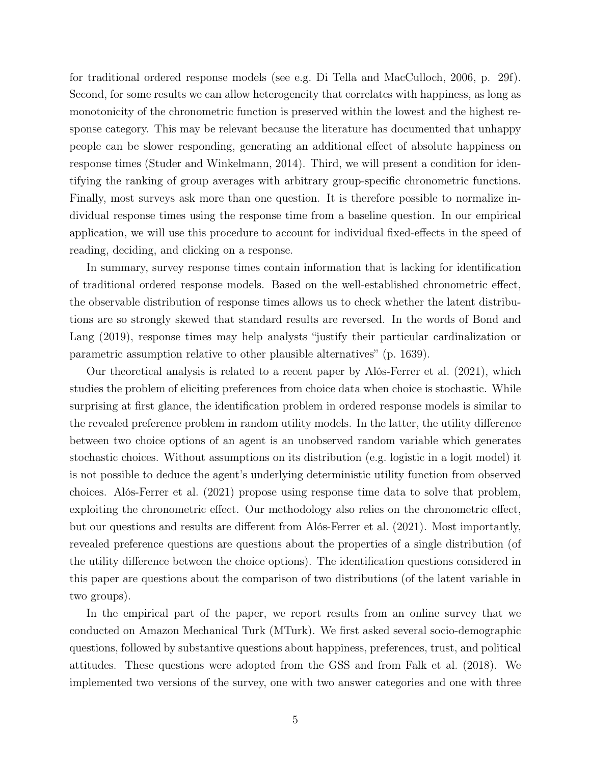for traditional ordered response models (see e.g. Di Tella and MacCulloch, 2006, p. 29f). Second, for some results we can allow heterogeneity that correlates with happiness, as long as monotonicity of the chronometric function is preserved within the lowest and the highest response category. This may be relevant because the literature has documented that unhappy people can be slower responding, generating an additional effect of absolute happiness on response times (Studer and Winkelmann, 2014). Third, we will present a condition for identifying the ranking of group averages with arbitrary group-specific chronometric functions. Finally, most surveys ask more than one question. It is therefore possible to normalize individual response times using the response time from a baseline question. In our empirical application, we will use this procedure to account for individual fixed-effects in the speed of reading, deciding, and clicking on a response.

In summary, survey response times contain information that is lacking for identification of traditional ordered response models. Based on the well-established chronometric effect, the observable distribution of response times allows us to check whether the latent distributions are so strongly skewed that standard results are reversed. In the words of Bond and Lang (2019), response times may help analysts "justify their particular cardinalization or parametric assumption relative to other plausible alternatives" (p. 1639).

Our theoretical analysis is related to a recent paper by Alós-Ferrer et al. (2021), which studies the problem of eliciting preferences from choice data when choice is stochastic. While surprising at first glance, the identification problem in ordered response models is similar to the revealed preference problem in random utility models. In the latter, the utility difference between two choice options of an agent is an unobserved random variable which generates stochastic choices. Without assumptions on its distribution (e.g. logistic in a logit model) it is not possible to deduce the agent's underlying deterministic utility function from observed choices. Alós-Ferrer et al. (2021) propose using response time data to solve that problem, exploiting the chronometric effect. Our methodology also relies on the chronometric effect, but our questions and results are different from Alós-Ferrer et al. (2021). Most importantly, revealed preference questions are questions about the properties of a single distribution (of the utility difference between the choice options). The identification questions considered in this paper are questions about the comparison of two distributions (of the latent variable in two groups).

In the empirical part of the paper, we report results from an online survey that we conducted on Amazon Mechanical Turk (MTurk). We first asked several socio-demographic questions, followed by substantive questions about happiness, preferences, trust, and political attitudes. These questions were adopted from the GSS and from Falk et al. (2018). We implemented two versions of the survey, one with two answer categories and one with three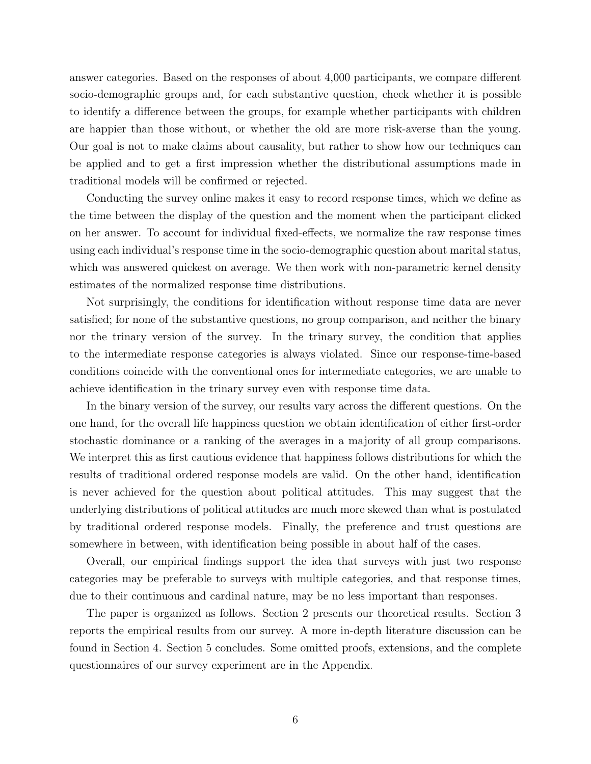answer categories. Based on the responses of about 4,000 participants, we compare different socio-demographic groups and, for each substantive question, check whether it is possible to identify a difference between the groups, for example whether participants with children are happier than those without, or whether the old are more risk-averse than the young. Our goal is not to make claims about causality, but rather to show how our techniques can be applied and to get a first impression whether the distributional assumptions made in traditional models will be confirmed or rejected.

Conducting the survey online makes it easy to record response times, which we define as the time between the display of the question and the moment when the participant clicked on her answer. To account for individual fixed-effects, we normalize the raw response times using each individual's response time in the socio-demographic question about marital status, which was answered quickest on average. We then work with non-parametric kernel density estimates of the normalized response time distributions.

Not surprisingly, the conditions for identification without response time data are never satisfied; for none of the substantive questions, no group comparison, and neither the binary nor the trinary version of the survey. In the trinary survey, the condition that applies to the intermediate response categories is always violated. Since our response-time-based conditions coincide with the conventional ones for intermediate categories, we are unable to achieve identification in the trinary survey even with response time data.

In the binary version of the survey, our results vary across the different questions. On the one hand, for the overall life happiness question we obtain identification of either first-order stochastic dominance or a ranking of the averages in a majority of all group comparisons. We interpret this as first cautious evidence that happiness follows distributions for which the results of traditional ordered response models are valid. On the other hand, identification is never achieved for the question about political attitudes. This may suggest that the underlying distributions of political attitudes are much more skewed than what is postulated by traditional ordered response models. Finally, the preference and trust questions are somewhere in between, with identification being possible in about half of the cases.

Overall, our empirical findings support the idea that surveys with just two response categories may be preferable to surveys with multiple categories, and that response times, due to their continuous and cardinal nature, may be no less important than responses.

The paper is organized as follows. Section 2 presents our theoretical results. Section 3 reports the empirical results from our survey. A more in-depth literature discussion can be found in Section 4. Section 5 concludes. Some omitted proofs, extensions, and the complete questionnaires of our survey experiment are in the Appendix.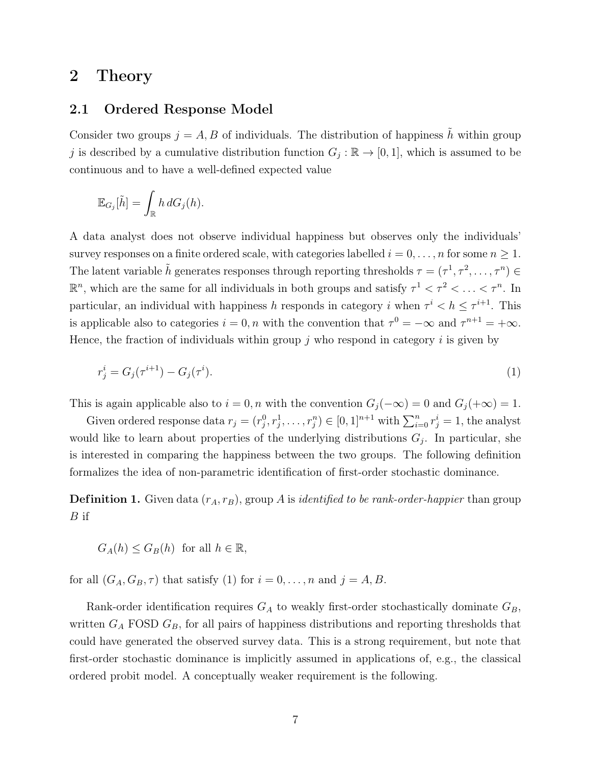## 2 Theory

### 2.1 Ordered Response Model

Consider two groups  $j = A, B$  of individuals. The distribution of happiness  $\tilde{h}$  within group j is described by a cumulative distribution function  $G_j : \mathbb{R} \to [0,1]$ , which is assumed to be continuous and to have a well-defined expected value

$$
\mathbb{E}_{G_j}[\tilde{h}] = \int_{\mathbb{R}} h \, dG_j(h).
$$

A data analyst does not observe individual happiness but observes only the individuals' survey responses on a finite ordered scale, with categories labelled  $i = 0, \ldots, n$  for some  $n \ge 1$ . The latent variable  $\tilde{h}$  generates responses through reporting thresholds  $\tau = (\tau^1, \tau^2, \dots, \tau^n) \in$  $\mathbb{R}^n$ , which are the same for all individuals in both groups and satisfy  $\tau^1 < \tau^2 < \ldots < \tau^n$ . In particular, an individual with happiness h responds in category i when  $\tau^i < h \leq \tau^{i+1}$ . This is applicable also to categories  $i = 0, n$  with the convention that  $\tau^0 = -\infty$  and  $\tau^{n+1} = +\infty$ . Hence, the fraction of individuals within group  $j$  who respond in category i is given by

$$
r_j^i = G_j(\tau^{i+1}) - G_j(\tau^i). \tag{1}
$$

This is again applicable also to  $i = 0, n$  with the convention  $G_j(-\infty) = 0$  and  $G_j(+\infty) = 1$ .

Given ordered response data  $r_j = (r_j^0, r_j^1, \ldots, r_j^n) \in [0, 1]^{n+1}$  with  $\sum_{i=0}^n r_j^i = 1$ , the analyst would like to learn about properties of the underlying distributions  $G_j$ . In particular, she is interested in comparing the happiness between the two groups. The following definition formalizes the idea of non-parametric identification of first-order stochastic dominance.

**Definition 1.** Given data  $(r_A, r_B)$ , group A is *identified to be rank-order-happier* than group  $B$  if

$$
G_A(h) \le G_B(h) \text{ for all } h \in \mathbb{R},
$$

for all  $(G_A, G_B, \tau)$  that satisfy (1) for  $i = 0, \ldots, n$  and  $j = A, B$ .

Rank-order identification requires  $G_A$  to weakly first-order stochastically dominate  $G_B$ , written  $G_A$  FOSD  $G_B$ , for all pairs of happiness distributions and reporting thresholds that could have generated the observed survey data. This is a strong requirement, but note that first-order stochastic dominance is implicitly assumed in applications of, e.g., the classical ordered probit model. A conceptually weaker requirement is the following.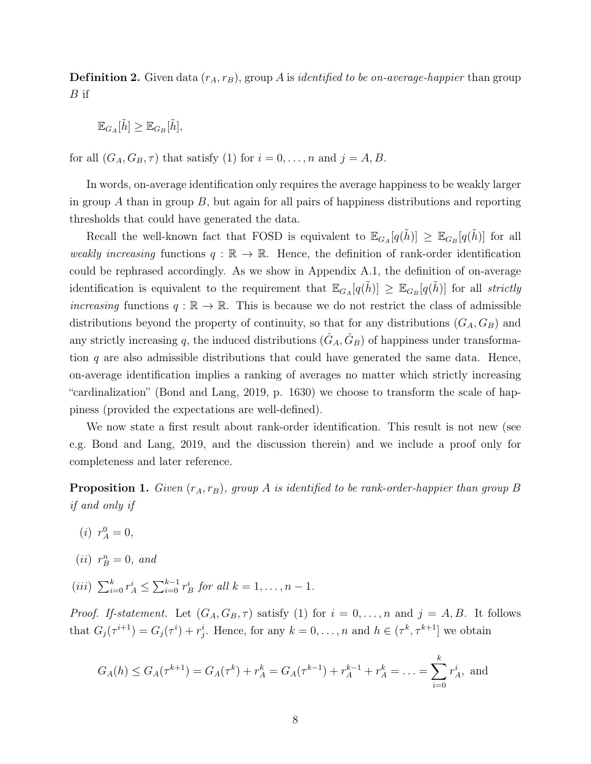**Definition 2.** Given data  $(r_A, r_B)$ , group A is *identified to be on-average-happier* than group  $B$  if

$$
\mathbb{E}_{G_A}[\tilde{h}] \geq \mathbb{E}_{G_B}[\tilde{h}],
$$

for all  $(G_A, G_B, \tau)$  that satisfy (1) for  $i = 0, \ldots, n$  and  $j = A, B$ .

In words, on-average identification only requires the average happiness to be weakly larger in group  $A$  than in group  $B$ , but again for all pairs of happiness distributions and reporting thresholds that could have generated the data.

Recall the well-known fact that FOSD is equivalent to  $\mathbb{E}_{G_A}[q(\tilde{h})] \geq \mathbb{E}_{G_B}[q(\tilde{h})]$  for all weakly increasing functions  $q : \mathbb{R} \to \mathbb{R}$ . Hence, the definition of rank-order identification could be rephrased accordingly. As we show in Appendix A.1, the definition of on-average identification is equivalent to the requirement that  $\mathbb{E}_{G_A}[q(\tilde{h})] \geq \mathbb{E}_{G_B}[q(\tilde{h})]$  for all strictly increasing functions  $q : \mathbb{R} \to \mathbb{R}$ . This is because we do not restrict the class of admissible distributions beyond the property of continuity, so that for any distributions  $(G_A, G_B)$  and any strictly increasing q, the induced distributions  $(\hat{G}_A, \hat{G}_B)$  of happiness under transformation  $q$  are also admissible distributions that could have generated the same data. Hence, on-average identification implies a ranking of averages no matter which strictly increasing "cardinalization" (Bond and Lang, 2019, p. 1630) we choose to transform the scale of happiness (provided the expectations are well-defined).

We now state a first result about rank-order identification. This result is not new (see e.g. Bond and Lang, 2019, and the discussion therein) and we include a proof only for completeness and later reference.

**Proposition 1.** Given  $(r_A, r_B)$ , group A is identified to be rank-order-happier than group B if and only if

- (*i*)  $r_A^0 = 0$ ,
- (*ii*)  $r_B^n = 0$ , and
- (*iii*)  $\sum_{i=0}^{k} r_A^i \le \sum_{i=0}^{k-1} r_B^i$  for all  $k = 1, ..., n-1$ .

*Proof. If-statement.* Let  $(G_A, G_B, \tau)$  satisfy (1) for  $i = 0, \ldots, n$  and  $j = A, B$ . It follows that  $G_j(\tau^{i+1}) = G_j(\tau^i) + r_j^i$ . Hence, for any  $k = 0, \ldots, n$  and  $h \in (\tau^k, \tau^{k+1}]$  we obtain

$$
G_A(h) \le G_A(\tau^{k+1}) = G_A(\tau^k) + r_A^k = G_A(\tau^{k-1}) + r_A^{k-1} + r_A^k = \dots = \sum_{i=0}^k r_A^i
$$
, and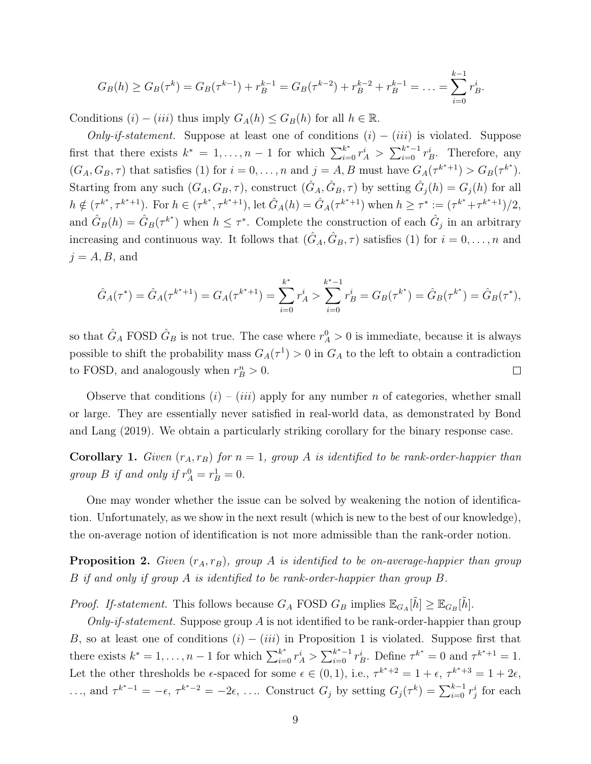$$
G_B(h) \geq G_B(\tau^k) = G_B(\tau^{k-1}) + r_B^{k-1} = G_B(\tau^{k-2}) + r_B^{k-2} + r_B^{k-1} = \ldots = \sum_{i=0}^{k-1} r_B^i.
$$

Conditions  $(i) - (iii)$  thus imply  $G_A(h) \leq G_B(h)$  for all  $h \in \mathbb{R}$ .

Only-if-statement. Suppose at least one of conditions  $(i) - (iii)$  is violated. Suppose first that there exists  $k^* = 1, ..., n-1$  for which  $\sum_{i=0}^{k^*} r_A^i > \sum_{i=0}^{k^*-1} r_B^i$ . Therefore, any  $(G_A, G_B, \tau)$  that satisfies (1) for  $i = 0, \ldots, n$  and  $j = A, B$  must have  $G_A(\tau^{k^*+1}) > G_B(\tau^{k^*})$ . Starting from any such  $(G_A, G_B, \tau)$ , construct  $(\hat{G}_A, \hat{G}_B, \tau)$  by setting  $\hat{G}_j(h) = G_j(h)$  for all  $h \notin (\tau^{k^*}, \tau^{k^*+1})$ . For  $h \in (\tau^{k^*}, \tau^{k^*+1})$ , let  $\hat{G}_A(h) = \hat{G}_A(\tau^{k^*+1})$  when  $h \geq \tau^* := (\tau^{k^*} + \tau^{k^*+1})/2$ , and  $\hat{G}_B(h) = \hat{G}_B(\tau^{k^*})$  when  $h \leq \tau^*$ . Complete the construction of each  $\hat{G}_j$  in an arbitrary increasing and continuous way. It follows that  $(\hat{G}_A, \hat{G}_B, \tau)$  satisfies (1) for  $i = 0, \ldots, n$  and  $j = A, B$ , and

$$
\hat{G}_A(\tau^*) = \hat{G}_A(\tau^{k^*+1}) = G_A(\tau^{k^*+1}) = \sum_{i=0}^{k^*} r_A^i > \sum_{i=0}^{k^*-1} r_B^i = G_B(\tau^{k^*}) = \hat{G}_B(\tau^{k^*}) = \hat{G}_B(\tau^*),
$$

so that  $\hat{G}_A$  FOSD  $\hat{G}_B$  is not true. The case where  $r_A^0 > 0$  is immediate, because it is always possible to shift the probability mass  $G_A(\tau^1) > 0$  in  $G_A$  to the left to obtain a contradiction to FOSD, and analogously when  $r_B^n > 0$ .  $\Box$ 

Observe that conditions  $(i) - (iii)$  apply for any number n of categories, whether small or large. They are essentially never satisfied in real-world data, as demonstrated by Bond and Lang (2019). We obtain a particularly striking corollary for the binary response case.

**Corollary 1.** Given  $(r_A, r_B)$  for  $n = 1$ , group A is identified to be rank-order-happier than group *B* if and only if  $r_A^0 = r_B^1 = 0$ .

One may wonder whether the issue can be solved by weakening the notion of identification. Unfortunately, as we show in the next result (which is new to the best of our knowledge), the on-average notion of identification is not more admissible than the rank-order notion.

**Proposition 2.** Given  $(r_A, r_B)$ , group A is identified to be on-average-happier than group B if and only if group A is identified to be rank-order-happier than group B.

*Proof.* If-statement. This follows because  $G_A$  FOSD  $G_B$  implies  $\mathbb{E}_{G_A}[\tilde{h}] \geq \mathbb{E}_{G_B}[\tilde{h}]$ .

Only-if-statement. Suppose group A is not identified to be rank-order-happier than group B, so at least one of conditions  $(i) - (iii)$  in Proposition 1 is violated. Suppose first that there exists  $k^* = 1, \ldots, n-1$  for which  $\sum_{i=0}^{k^*} r_A^i > \sum_{i=0}^{k^*-1} r_B^i$ . Define  $\tau^{k^*} = 0$  and  $\tau^{k^*+1} = 1$ . Let the other thresholds be  $\epsilon$ -spaced for some  $\epsilon \in (0,1)$ , i.e.,  $\tau^{k^*+2} = 1 + \epsilon$ ,  $\tau^{k^*+3} = 1 + 2\epsilon$ , ..., and  $\tau^{k^*-1} = -\epsilon$ ,  $\tau^{k^*-2} = -2\epsilon$ , .... Construct  $G_j$  by setting  $G_j(\tau^k) = \sum_{i=0}^{k-1} r_j^i$  for each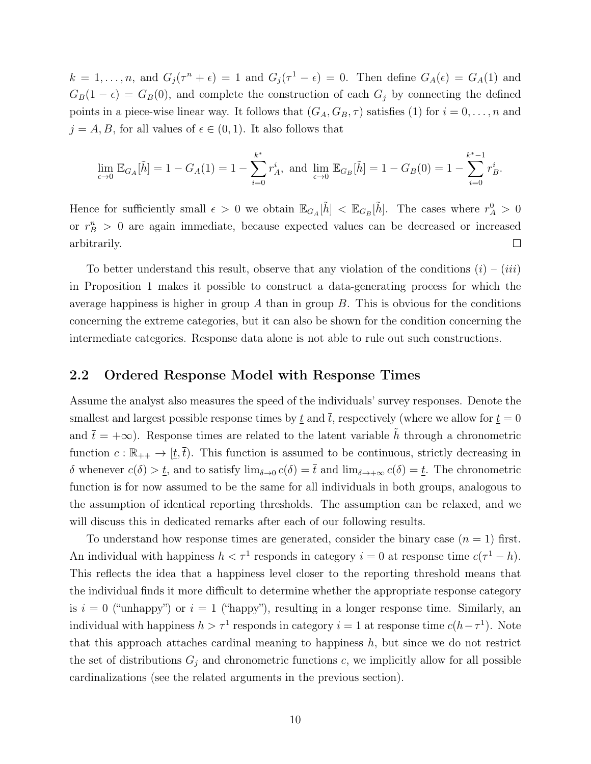$k = 1, \ldots, n$ , and  $G_j(\tau^n + \epsilon) = 1$  and  $G_j(\tau^1 - \epsilon) = 0$ . Then define  $G_A(\epsilon) = G_A(1)$  and  $G_B(1 - \epsilon) = G_B(0)$ , and complete the construction of each  $G_j$  by connecting the defined points in a piece-wise linear way. It follows that  $(G_A, G_B, \tau)$  satisfies (1) for  $i = 0, \ldots, n$  and  $j = A, B$ , for all values of  $\epsilon \in (0, 1)$ . It also follows that

$$
\lim_{\epsilon \to 0} \mathbb{E}_{G_A}[\tilde{h}] = 1 - G_A(1) = 1 - \sum_{i=0}^{k^*} r_A^i
$$
, and 
$$
\lim_{\epsilon \to 0} \mathbb{E}_{G_B}[\tilde{h}] = 1 - G_B(0) = 1 - \sum_{i=0}^{k^*-1} r_B^i
$$
.

Hence for sufficiently small  $\epsilon > 0$  we obtain  $\mathbb{E}_{G_A}[\tilde{h}] < \mathbb{E}_{G_B}[\tilde{h}]$ . The cases where  $r_A^0 > 0$ or  $r_B^n > 0$  are again immediate, because expected values can be decreased or increased arbitrarily.  $\Box$ 

To better understand this result, observe that any violation of the conditions  $(i) - (iii)$ in Proposition 1 makes it possible to construct a data-generating process for which the average happiness is higher in group  $A$  than in group  $B$ . This is obvious for the conditions concerning the extreme categories, but it can also be shown for the condition concerning the intermediate categories. Response data alone is not able to rule out such constructions.

### 2.2 Ordered Response Model with Response Times

Assume the analyst also measures the speed of the individuals' survey responses. Denote the smallest and largest possible response times by  $\underline{t}$  and  $\overline{t}$ , respectively (where we allow for  $\underline{t} = 0$ and  $\bar{t} = +\infty$ ). Response times are related to the latent variable h through a chronometric function  $c : \mathbb{R}_{++} \to [\underline{t}, \overline{t})$ . This function is assumed to be continuous, strictly decreasing in δ whenever  $c(\delta) > \underline{t}$ , and to satisfy  $\lim_{\delta \to 0} c(\delta) = \overline{t}$  and  $\lim_{\delta \to +\infty} c(\delta) = \underline{t}$ . The chronometric function is for now assumed to be the same for all individuals in both groups, analogous to the assumption of identical reporting thresholds. The assumption can be relaxed, and we will discuss this in dedicated remarks after each of our following results.

To understand how response times are generated, consider the binary case  $(n = 1)$  first. An individual with happiness  $h < \tau^1$  responds in category  $i = 0$  at response time  $c(\tau^1 - h)$ . This reflects the idea that a happiness level closer to the reporting threshold means that the individual finds it more difficult to determine whether the appropriate response category is  $i = 0$  ("unhappy") or  $i = 1$  ("happy"), resulting in a longer response time. Similarly, an individual with happiness  $h > \tau^1$  responds in category  $i = 1$  at response time  $c(h - \tau^1)$ . Note that this approach attaches cardinal meaning to happiness  $h$ , but since we do not restrict the set of distributions  $G_j$  and chronometric functions c, we implicitly allow for all possible cardinalizations (see the related arguments in the previous section).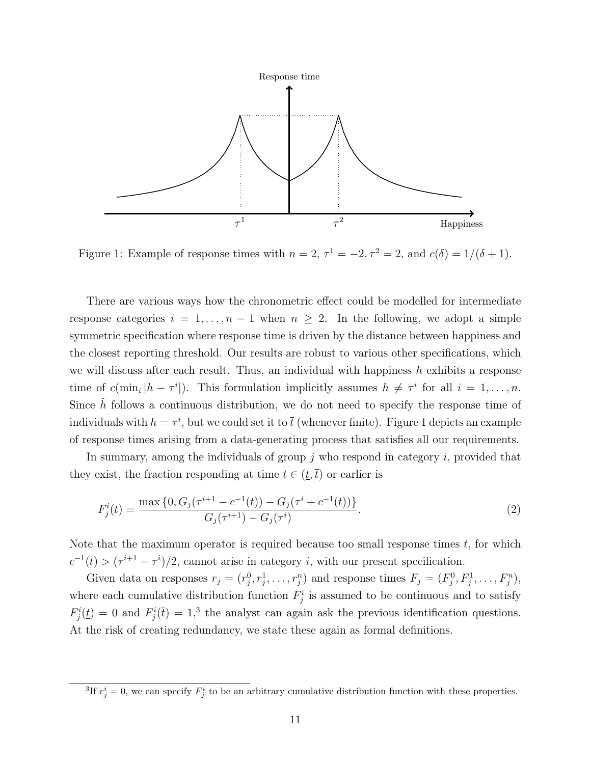

Figure 1: Example of response times with  $n = 2$ ,  $\tau^1 = -2$ ,  $\tau^2 = 2$ , and  $c(\delta) = 1/(\delta + 1)$ .

There are various ways how the chronometric effect could be modelled for intermediate response categories  $i = 1, \ldots, n-1$  when  $n \geq 2$ . In the following, we adopt a simple symmetric specification where response time is driven by the distance between happiness and the closest reporting threshold. Our results are robust to various other specifications, which we will discuss after each result. Thus, an individual with happiness  $h$  exhibits a response time of  $c(\min_i |h - \tau^i|)$ . This formulation implicitly assumes  $h \neq \tau^i$  for all  $i = 1, \ldots, n$ . Since  $h$  follows a continuous distribution, we do not need to specify the response time of individuals with  $h = \tau^i$ , but we could set it to  $\bar{t}$  (whenever finite). Figure 1 depicts an example of response times arising from a data-generating process that satisfies all our requirements.

In summary, among the individuals of group  $j$  who respond in category  $i$ , provided that they exist, the fraction responding at time  $t \in (\underline{t}, \overline{t})$  or earlier is

$$
F_j^i(t) = \frac{\max\left\{0, G_j(\tau^{i+1} - c^{-1}(t)) - G_j(\tau^i + c^{-1}(t))\right\}}{G_j(\tau^{i+1}) - G_j(\tau^i)}.
$$
\n(2)

Note that the maximum operator is required because too small response times  $t$ , for which  $c^{-1}(t) > (\tau^{i+1} - \tau^{i})/2$ , cannot arise in category *i*, with our present specification.

Given data on responses  $r_j = (r_j^0, r_j^1, \ldots, r_j^n)$  and response times  $F_j = (F_j^0, F_j^1, \ldots, F_j^n)$ , where each cumulative distribution function  $F_j^i$  is assumed to be continuous and to satisfy  $F_j^i(\underline{t}) = 0$  and  $F_j^i(\overline{t}) = 1$ ,<sup>3</sup> the analyst can again ask the previous identification questions. At the risk of creating redundancy, we state these again as formal definitions.

<sup>&</sup>lt;sup>3</sup>If  $r_j^i = 0$ , we can specify  $F_j^i$  to be an arbitrary cumulative distribution function with these properties.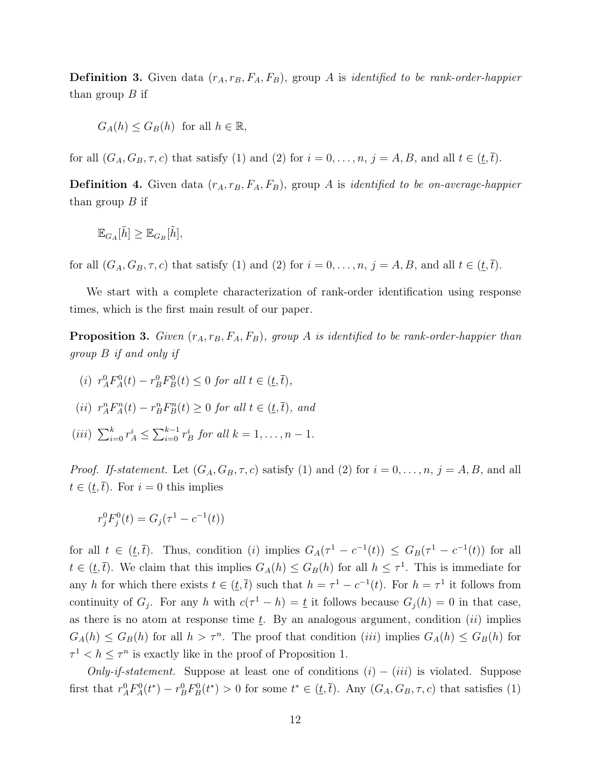**Definition 3.** Given data  $(r_A, r_B, F_A, F_B)$ , group A is *identified to be rank-order-happier* than group  $B$  if

$$
G_A(h) \le G_B(h) \text{ for all } h \in \mathbb{R},
$$

for all  $(G_A, G_B, \tau, c)$  that satisfy (1) and (2) for  $i = 0, \ldots, n, j = A, B$ , and all  $t \in (t, \overline{t})$ .

**Definition 4.** Given data  $(r_A, r_B, F_A, F_B)$ , group A is *identified to be on-average-happier* than group  $B$  if

$$
\mathbb{E}_{G_A}[\tilde{h}] \geq \mathbb{E}_{G_B}[\tilde{h}],
$$

for all  $(G_A, G_B, \tau, c)$  that satisfy (1) and (2) for  $i = 0, \ldots, n, j = A, B$ , and all  $t \in (t, \overline{t})$ .

We start with a complete characterization of rank-order identification using response times, which is the first main result of our paper.

**Proposition 3.** Given  $(r_A, r_B, F_A, F_B)$ , group A is identified to be rank-order-happier than group B if and only if

- (i)  $r_A^0 F_A^0(t) r_B^0 F_B^0(t) \leq 0$  for all  $t \in (\underline{t}, \overline{t}),$
- (ii)  $r_A^n F_A^n(t) r_B^n F_B^n(t) \geq 0$  for all  $t \in (\underline{t}, \overline{t})$ , and
- (*iii*)  $\sum_{i=0}^{k} r_A^i \le \sum_{i=0}^{k-1} r_B^i$  for all  $k = 1, ..., n-1$ .

*Proof.* If-statement. Let  $(G_A, G_B, \tau, c)$  satisfy (1) and (2) for  $i = 0, \ldots, n, j = A, B$ , and all  $t \in (\underline{t}, \overline{t})$ . For  $i = 0$  this implies

$$
r_j^0 F_j^0(t) = G_j(\tau^1 - c^{-1}(t))
$$

for all  $t \in (\underline{t}, \overline{t})$ . Thus, condition (i) implies  $G_A(\tau^1 - c^{-1}(t)) \leq G_B(\tau^1 - c^{-1}(t))$  for all  $t \in (t, \overline{t})$ . We claim that this implies  $G_A(h) \leq G_B(h)$  for all  $h \leq \tau^1$ . This is immediate for any h for which there exists  $t \in (\underline{t}, \overline{t})$  such that  $h = \tau^1 - c^{-1}(t)$ . For  $h = \tau^1$  it follows from continuity of  $G_j$ . For any h with  $c(\tau^1 - h) = \underline{t}$  it follows because  $G_j(h) = 0$  in that case, as there is no atom at response time  $\underline{t}$ . By an analogous argument, condition (ii) implies  $G_A(h) \leq G_B(h)$  for all  $h > \tau^n$ . The proof that condition *(iii)* implies  $G_A(h) \leq G_B(h)$  for  $\tau^1 < h \leq \tau^n$  is exactly like in the proof of Proposition 1.

Only-if-statement. Suppose at least one of conditions  $(i) - (iii)$  is violated. Suppose first that  $r_A^0 F_A^0(t^*) - r_B^0 F_B^0(t^*) > 0$  for some  $t^* \in (\underline{t}, \overline{t})$ . Any  $(G_A, G_B, \tau, c)$  that satisfies (1)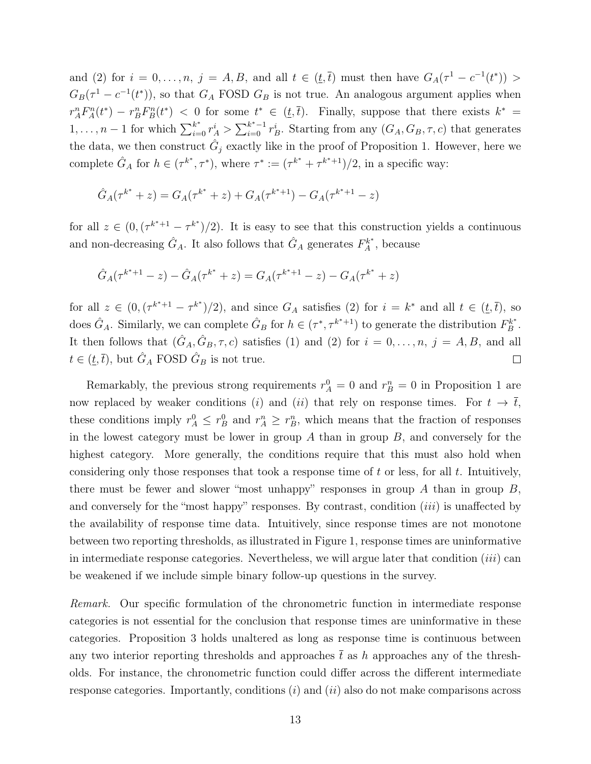and (2) for  $i = 0, \ldots, n$ ,  $j = A, B$ , and all  $t \in (\underline{t}, \overline{t})$  must then have  $G_A(\tau^1 - c^{-1}(t^*))$  $G_B(\tau^1 - c^{-1}(t^*))$ , so that  $G_A$  FOSD  $G_B$  is not true. An analogous argument applies when  $r_A^n F_A^n(t^*) - r_B^n F_B^n(t^*)$  < 0 for some  $t^* \in (\underline{t}, \overline{t})$ . Finally, suppose that there exists  $k^* =$  $1, \ldots, n-1$  for which  $\sum_{i=0}^{k^*} r_A^i > \sum_{i=0}^{k^*-1} r_B^i$ . Starting from any  $(G_A, G_B, \tau, c)$  that generates the data, we then construct  $\hat{G}_j$  exactly like in the proof of Proposition 1. However, here we complete  $\hat{G}_A$  for  $h \in (\tau^{k^*}, \tau^*)$ , where  $\tau^* := (\tau^{k^*} + \tau^{k^*+1})/2$ , in a specific way:

$$
\hat{G}_A(\tau^{k^*} + z) = G_A(\tau^{k^*} + z) + G_A(\tau^{k^*+1}) - G_A(\tau^{k^*+1} - z)
$$

for all  $z \in (0, (\tau^{k^*+1} - \tau^{k^*})/2)$ . It is easy to see that this construction yields a continuous and non-decreasing  $\hat{G}_A$ . It also follows that  $\hat{G}_A$  generates  $F_A^{k^*}$ , because

$$
\hat{G}_A(\tau^{k^*+1} - z) - \hat{G}_A(\tau^{k^*} + z) = G_A(\tau^{k^*+1} - z) - G_A(\tau^{k^*} + z)
$$

for all  $z \in (0, (\tau^{k^*+1} - \tau^{k^*})/2)$ , and since  $G_A$  satisfies (2) for  $i = k^*$  and all  $t \in (\underline{t}, \overline{t})$ , so does  $\hat{G}_A$ . Similarly, we can complete  $\hat{G}_B$  for  $h \in (\tau^*, \tau^{k^*+1})$  to generate the distribution  $F_B^{k^*}$ . It then follows that  $(\hat{G}_A, \hat{G}_B, \tau, c)$  satisfies (1) and (2) for  $i = 0, \ldots, n, j = A, B$ , and all  $t \in (\underline{t}, \overline{t})$ , but  $\hat{G}_A$  FOSD  $\hat{G}_B$  is not true.  $\Box$ 

Remarkably, the previous strong requirements  $r_A^0 = 0$  and  $r_B^n = 0$  in Proposition 1 are now replaced by weaker conditions (i) and (ii) that rely on response times. For  $t \to \overline{t}$ , these conditions imply  $r_A^0 \leq r_B^0$  and  $r_A^n \geq r_B^n$ , which means that the fraction of responses in the lowest category must be lower in group  $A$  than in group  $B$ , and conversely for the highest category. More generally, the conditions require that this must also hold when considering only those responses that took a response time of  $t$  or less, for all  $t$ . Intuitively, there must be fewer and slower "most unhappy" responses in group  $A$  than in group  $B$ , and conversely for the "most happy" responses. By contrast, condition *(iii)* is unaffected by the availability of response time data. Intuitively, since response times are not monotone between two reporting thresholds, as illustrated in Figure 1, response times are uninformative in intermediate response categories. Nevertheless, we will argue later that condition (iii) can be weakened if we include simple binary follow-up questions in the survey.

Remark. Our specific formulation of the chronometric function in intermediate response categories is not essential for the conclusion that response times are uninformative in these categories. Proposition 3 holds unaltered as long as response time is continuous between any two interior reporting thresholds and approaches  $\bar{t}$  as h approaches any of the thresholds. For instance, the chronometric function could differ across the different intermediate response categories. Importantly, conditions  $(i)$  and  $(ii)$  also do not make comparisons across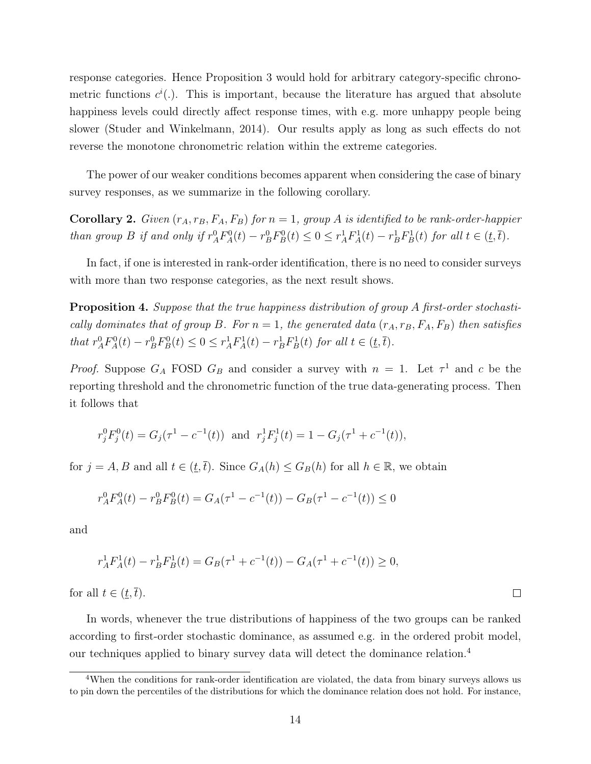response categories. Hence Proposition 3 would hold for arbitrary category-specific chronometric functions  $c^{i}$ . This is important, because the literature has argued that absolute happiness levels could directly affect response times, with e.g. more unhappy people being slower (Studer and Winkelmann, 2014). Our results apply as long as such effects do not reverse the monotone chronometric relation within the extreme categories.

The power of our weaker conditions becomes apparent when considering the case of binary survey responses, as we summarize in the following corollary.

**Corollary 2.** Given  $(r_A, r_B, F_A, F_B)$  for  $n = 1$ , group A is identified to be rank-order-happier than group B if and only if  $r_A^0 F_A^0(t) - r_B^0 F_B^0(t) \leq 0 \leq r_A^1 F_A^1(t) - r_B^1 F_B^1(t)$  for all  $t \in (t, \overline{t})$ .

In fact, if one is interested in rank-order identification, there is no need to consider surveys with more than two response categories, as the next result shows.

Proposition 4. Suppose that the true happiness distribution of group A first-order stochastically dominates that of group B. For  $n = 1$ , the generated data  $(r_A, r_B, F_A, F_B)$  then satisfies that  $r_A^0 F_A^0(t) - r_B^0 F_B^0(t) \leq 0 \leq r_A^1 F_A^1(t) - r_B^1 F_B^1(t)$  for all  $t \in (t, \overline{t})$ .

*Proof.* Suppose  $G_A$  FOSD  $G_B$  and consider a survey with  $n = 1$ . Let  $\tau^1$  and c be the reporting threshold and the chronometric function of the true data-generating process. Then it follows that

$$
r_j^0 F_j^0(t) = G_j(\tau^1 - c^{-1}(t))
$$
 and  $r_j^1 F_j^1(t) = 1 - G_j(\tau^1 + c^{-1}(t)),$ 

for  $j = A, B$  and all  $t \in (\underline{t}, \overline{t})$ . Since  $G_A(h) \leq G_B(h)$  for all  $h \in \mathbb{R}$ , we obtain

$$
r_A^0 F_A^0(t) - r_B^0 F_B^0(t) = G_A(\tau^1 - c^{-1}(t)) - G_B(\tau^1 - c^{-1}(t)) \le 0
$$

and

$$
r_A^1 F_A^1(t) - r_B^1 F_B^1(t) = G_B(\tau^1 + c^{-1}(t)) - G_A(\tau^1 + c^{-1}(t)) \ge 0,
$$

for all  $t \in (\underline{t}, \overline{t})$ .

In words, whenever the true distributions of happiness of the two groups can be ranked according to first-order stochastic dominance, as assumed e.g. in the ordered probit model, our techniques applied to binary survey data will detect the dominance relation.<sup>4</sup>

 $\Box$ 

<sup>4</sup>When the conditions for rank-order identification are violated, the data from binary surveys allows us to pin down the percentiles of the distributions for which the dominance relation does not hold. For instance,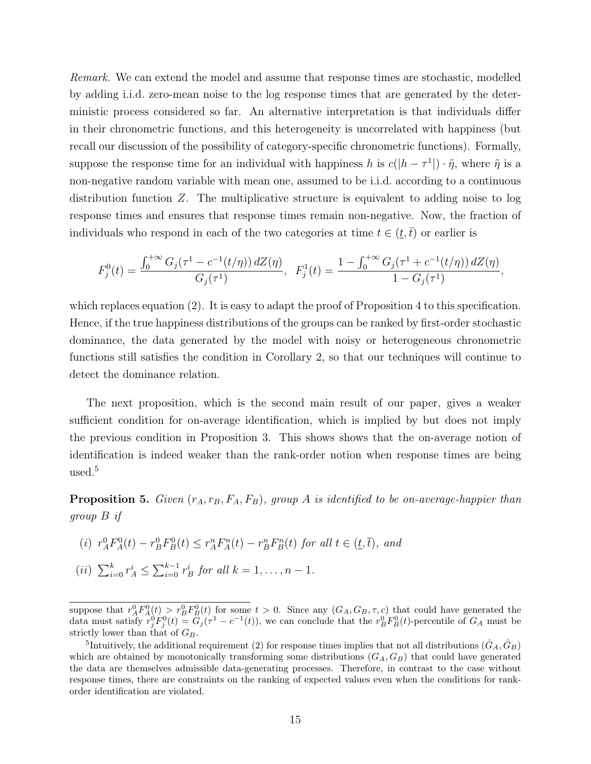Remark. We can extend the model and assume that response times are stochastic, modelled by adding i.i.d. zero-mean noise to the log response times that are generated by the deterministic process considered so far. An alternative interpretation is that individuals differ in their chronometric functions, and this heterogeneity is uncorrelated with happiness (but recall our discussion of the possibility of category-specific chronometric functions). Formally, suppose the response time for an individual with happiness h is  $c(|h - \tau^1|) \cdot \tilde{\eta}$ , where  $\tilde{\eta}$  is a non-negative random variable with mean one, assumed to be i.i.d. according to a continuous distribution function Z. The multiplicative structure is equivalent to adding noise to log response times and ensures that response times remain non-negative. Now, the fraction of individuals who respond in each of the two categories at time  $t \in (t, \bar{t})$  or earlier is

$$
F_j^0(t) = \frac{\int_0^{+\infty} G_j(\tau^1 - c^{-1}(t/\eta)) dZ(\eta)}{G_j(\tau^1)}, \ \ F_j^1(t) = \frac{1 - \int_0^{+\infty} G_j(\tau^1 + c^{-1}(t/\eta)) dZ(\eta)}{1 - G_j(\tau^1)},
$$

which replaces equation (2). It is easy to adapt the proof of Proposition 4 to this specification. Hence, if the true happiness distributions of the groups can be ranked by first-order stochastic dominance, the data generated by the model with noisy or heterogeneous chronometric functions still satisfies the condition in Corollary 2, so that our techniques will continue to detect the dominance relation.

The next proposition, which is the second main result of our paper, gives a weaker sufficient condition for on-average identification, which is implied by but does not imply the previous condition in Proposition 3. This shows shows that the on-average notion of identification is indeed weaker than the rank-order notion when response times are being used.<sup>5</sup>

**Proposition 5.** Given  $(r_A, r_B, F_A, F_B)$ , group A is identified to be on-average-happier than group B if

(i) 
$$
r_A^0 F_A^0(t) - r_B^0 F_B^0(t) \le r_A^n F_A^n(t) - r_B^n F_B^n(t)
$$
 for all  $t \in (\underline{t}, \overline{t})$ , and  
(ii)  $\sum_{i=0}^k r_A^i \le \sum_{i=0}^{k-1} r_B^i$  for all  $k = 1, ..., n - 1$ .

suppose that  $r_A^0 F_A^0(t) > r_B^0 F_B^0(t)$  for some  $t > 0$ . Since any  $(G_A, G_B, \tau, c)$  that could have generated the data must satisfy  $r_j^0 F_j^0(t) = G_j(\tau^1 - c^{-1}(t))$ , we can conclude that the  $r_B^0 F_B^0(t)$ -percentile of  $G_A$  must be strictly lower than that of  $G_B$ .

<sup>&</sup>lt;sup>5</sup>Intuitively, the additional requirement (2) for response times implies that not all distributions  $(\hat{G}_A, \hat{G}_B)$ which are obtained by monotonically transforming some distributions  $(G_A, G_B)$  that could have generated the data are themselves admissible data-generating processes. Therefore, in contrast to the case without response times, there are constraints on the ranking of expected values even when the conditions for rankorder identification are violated.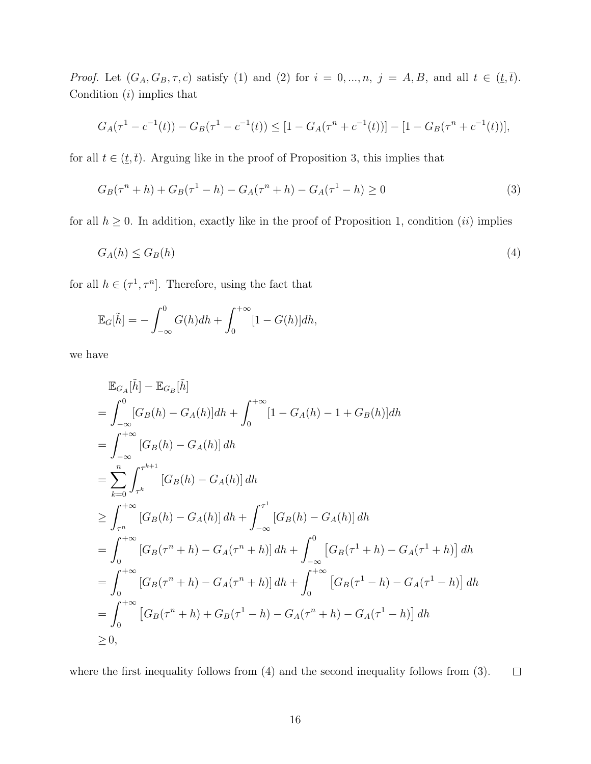*Proof.* Let  $(G_A, G_B, \tau, c)$  satisfy (1) and (2) for  $i = 0, ..., n, j = A, B$ , and all  $t \in (t, \overline{t})$ . Condition  $(i)$  implies that

$$
G_A(\tau^1 - c^{-1}(t)) - G_B(\tau^1 - c^{-1}(t)) \le [1 - G_A(\tau^n + c^{-1}(t))] - [1 - G_B(\tau^n + c^{-1}(t))],
$$

for all  $t \in (\underline{t}, \overline{t})$ . Arguing like in the proof of Proposition 3, this implies that

$$
G_B(\tau^n + h) + G_B(\tau^1 - h) - G_A(\tau^n + h) - G_A(\tau^1 - h) \ge 0
$$
\n(3)

for all  $h \geq 0$ . In addition, exactly like in the proof of Proposition 1, condition *(ii)* implies

$$
G_A(h) \le G_B(h) \tag{4}
$$

for all  $h \in (\tau^1, \tau^n]$ . Therefore, using the fact that

$$
\mathbb{E}_G[\tilde{h}] = -\int_{-\infty}^0 G(h)dh + \int_0^{+\infty} [1 - G(h)]dh,
$$

we have

$$
\mathbb{E}_{G_A}[\tilde{h}] - \mathbb{E}_{G_B}[\tilde{h}] \n= \int_{-\infty}^{0} [G_B(h) - G_A(h)]dh + \int_{0}^{+\infty} [1 - G_A(h) - 1 + G_B(h)]dh \n= \int_{-\infty}^{+\infty} [G_B(h) - G_A(h)]dh \n= \sum_{k=0}^{n} \int_{\tau^k}^{\tau^{k+1}} [G_B(h) - G_A(h)]dh \n\geq \int_{\tau^n}^{+\infty} [G_B(h) - G_A(h)]dh + \int_{-\infty}^{\tau^1} [G_B(h) - G_A(h)]dh \n= \int_{0}^{+\infty} [G_B(\tau^n + h) - G_A(\tau^n + h)]dh + \int_{-\infty}^{0} [G_B(\tau^1 + h) - G_A(\tau^1 + h)]dh \n= \int_{0}^{+\infty} [G_B(\tau^n + h) - G_A(\tau^n + h)]dh + \int_{0}^{+\infty} [G_B(\tau^1 - h) - G_A(\tau^1 - h)]dh \n= \int_{0}^{+\infty} [G_B(\tau^n + h) + G_B(\tau^1 - h) - G_A(\tau^n + h) - G_A(\tau^1 - h)]dh \n\geq 0,
$$

where the first inequality follows from  $(4)$  and the second inequality follows from  $(3)$ .  $\Box$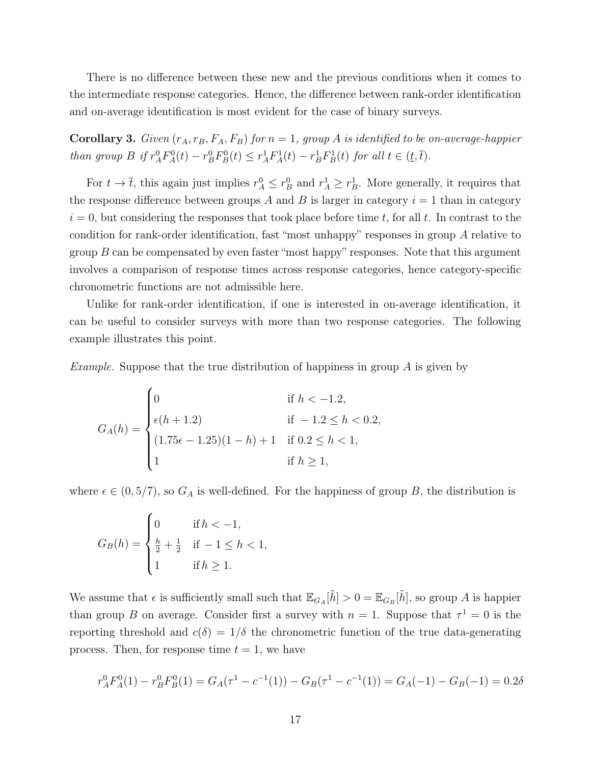There is no difference between these new and the previous conditions when it comes to the intermediate response categories. Hence, the difference between rank-order identification and on-average identification is most evident for the case of binary surveys.

**Corollary 3.** Given  $(r_A, r_B, F_A, F_B)$  for  $n = 1$ , group A is identified to be on-average-happier than group B if  $r_A^0 F_A^0(t) - r_B^0 F_B^0(t) \le r_A^1 F_A^1(t) - r_B^1 F_B^1(t)$  for all  $t \in (t, \overline{t})$ .

For  $t \to \bar{t}$ , this again just implies  $r_A^0 \leq r_B^0$  and  $r_A^1 \geq r_B^1$ . More generally, it requires that the response difference between groups A and B is larger in category  $i = 1$  than in category  $i = 0$ , but considering the responses that took place before time t, for all t. In contrast to the condition for rank-order identification, fast "most unhappy" responses in group A relative to group  $B$  can be compensated by even faster "most happy" responses. Note that this argument involves a comparison of response times across response categories, hence category-specific chronometric functions are not admissible here.

Unlike for rank-order identification, if one is interested in on-average identification, it can be useful to consider surveys with more than two response categories. The following example illustrates this point.

*Example.* Suppose that the true distribution of happiness in group  $\tilde{A}$  is given by

$$
G_A(h) = \begin{cases} 0 & \text{if } h < -1.2, \\ \epsilon(h+1.2) & \text{if } -1.2 \le h < 0.2, \\ (1.75\epsilon - 1.25)(1-h) + 1 & \text{if } 0.2 \le h < 1, \\ 1 & \text{if } h \ge 1, \end{cases}
$$

where  $\epsilon \in (0, 5/7)$ , so  $G_A$  is well-defined. For the happiness of group B, the distribution is

$$
G_B(h) = \begin{cases} 0 & \text{if } h < -1, \\ \frac{h}{2} + \frac{1}{2} & \text{if } -1 \le h < 1, \\ 1 & \text{if } h \ge 1. \end{cases}
$$

We assume that  $\epsilon$  is sufficiently small such that  $\mathbb{E}_{G_A}[\tilde{h}] > 0 = \mathbb{E}_{G_B}[\tilde{h}]$ , so group A is happier than group B on average. Consider first a survey with  $n = 1$ . Suppose that  $\tau^1 = 0$  is the reporting threshold and  $c(\delta) = 1/\delta$  the chronometric function of the true data-generating process. Then, for response time  $t = 1$ , we have

$$
r_A^0 F_A^0(1) - r_B^0 F_B^0(1) = G_A(\tau^1 - c^{-1}(1)) - G_B(\tau^1 - c^{-1}(1)) = G_A(-1) - G_B(-1) = 0.2\delta
$$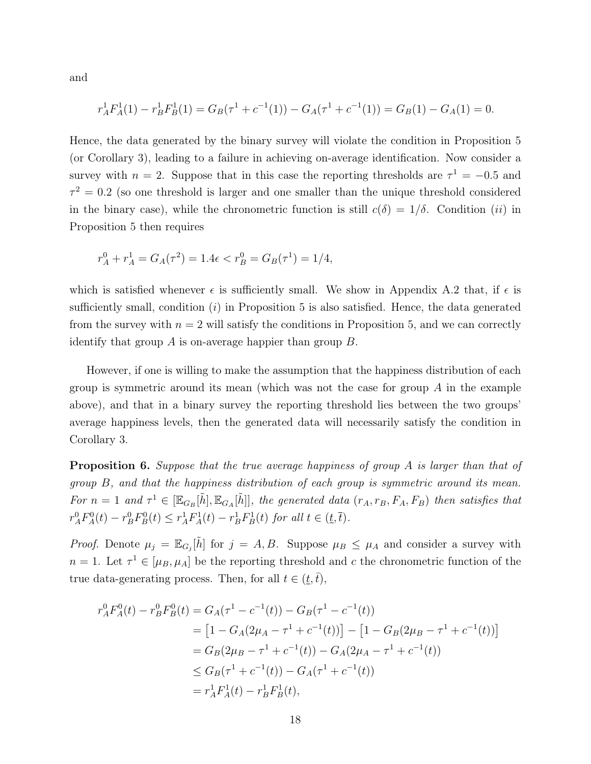and

$$
r_A^1 F_A^1(1) - r_B^1 F_B^1(1) = G_B(\tau^1 + c^{-1}(1)) - G_A(\tau^1 + c^{-1}(1)) = G_B(1) - G_A(1) = 0.
$$

Hence, the data generated by the binary survey will violate the condition in Proposition 5 (or Corollary 3), leading to a failure in achieving on-average identification. Now consider a survey with  $n = 2$ . Suppose that in this case the reporting thresholds are  $\tau^1 = -0.5$  and  $\tau^2 = 0.2$  (so one threshold is larger and one smaller than the unique threshold considered in the binary case), while the chronometric function is still  $c(\delta) = 1/\delta$ . Condition (ii) in Proposition 5 then requires

$$
r_A^0 + r_A^1 = G_A(\tau^2) = 1.4\epsilon < r_B^0 = G_B(\tau^1) = 1/4,
$$

which is satisfied whenever  $\epsilon$  is sufficiently small. We show in Appendix A.2 that, if  $\epsilon$  is sufficiently small, condition  $(i)$  in Proposition 5 is also satisfied. Hence, the data generated from the survey with  $n = 2$  will satisfy the conditions in Proposition 5, and we can correctly identify that group  $A$  is on-average happier than group  $B$ .

However, if one is willing to make the assumption that the happiness distribution of each group is symmetric around its mean (which was not the case for group  $A$  in the example above), and that in a binary survey the reporting threshold lies between the two groups' average happiness levels, then the generated data will necessarily satisfy the condition in Corollary 3.

**Proposition 6.** Suppose that the true average happiness of group A is larger than that of group B, and that the happiness distribution of each group is symmetric around its mean. For  $n=1$  and  $\tau^1 \in [\mathbb{E}_{G_B}[\tilde{h}], \mathbb{E}_{G_A}[\tilde{h}]]$ , the generated data  $(r_A, r_B, F_A, F_B)$  then satisfies that  $r_A^0 F_A^0(t) - r_B^0 F_B^0(t) \le r_A^1 F_A^1(t) - r_B^1 F_B^1(t)$  for all  $t \in (t, \overline{t})$ .

*Proof.* Denote  $\mu_j = \mathbb{E}_{G_j}[\tilde{h}]$  for  $j = A, B$ . Suppose  $\mu_B \leq \mu_A$  and consider a survey with  $n = 1$ . Let  $\tau^1 \in [\mu_B, \mu_A]$  be the reporting threshold and c the chronometric function of the true data-generating process. Then, for all  $t \in (\underline{t}, \overline{t})$ ,

$$
r_A^0 F_A^0(t) - r_B^0 F_B^0(t) = G_A(\tau^1 - c^{-1}(t)) - G_B(\tau^1 - c^{-1}(t))
$$
  
\n
$$
= [1 - G_A(2\mu_A - \tau^1 + c^{-1}(t))] - [1 - G_B(2\mu_B - \tau^1 + c^{-1}(t))]
$$
  
\n
$$
= G_B(2\mu_B - \tau^1 + c^{-1}(t)) - G_A(2\mu_A - \tau^1 + c^{-1}(t))
$$
  
\n
$$
\leq G_B(\tau^1 + c^{-1}(t)) - G_A(\tau^1 + c^{-1}(t))
$$
  
\n
$$
= r_A^1 F_A^1(t) - r_B^1 F_B^1(t),
$$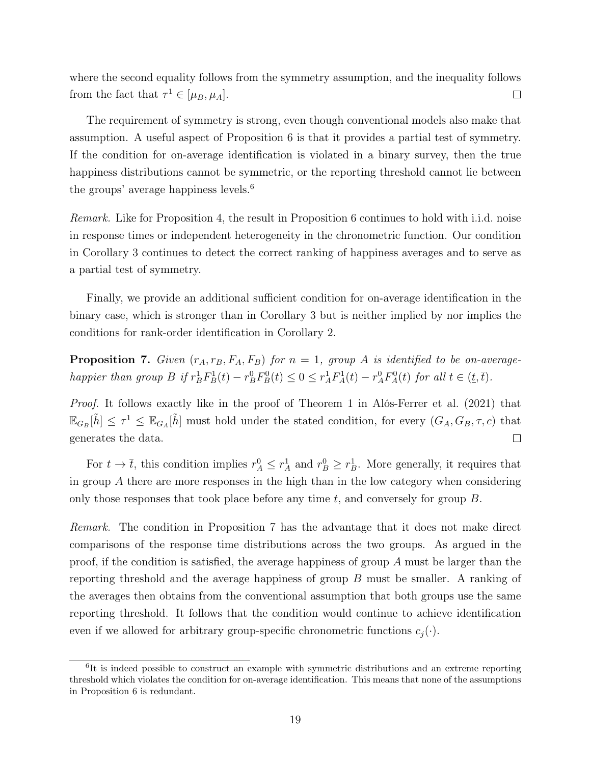where the second equality follows from the symmetry assumption, and the inequality follows from the fact that  $\tau^1 \in [\mu_B, \mu_A]$ .  $\Box$ 

The requirement of symmetry is strong, even though conventional models also make that assumption. A useful aspect of Proposition 6 is that it provides a partial test of symmetry. If the condition for on-average identification is violated in a binary survey, then the true happiness distributions cannot be symmetric, or the reporting threshold cannot lie between the groups' average happiness levels.<sup>6</sup>

Remark. Like for Proposition 4, the result in Proposition 6 continues to hold with i.i.d. noise in response times or independent heterogeneity in the chronometric function. Our condition in Corollary 3 continues to detect the correct ranking of happiness averages and to serve as a partial test of symmetry.

Finally, we provide an additional sufficient condition for on-average identification in the binary case, which is stronger than in Corollary 3 but is neither implied by nor implies the conditions for rank-order identification in Corollary 2.

**Proposition 7.** Given  $(r_A, r_B, F_A, F_B)$  for  $n = 1$ , group A is identified to be on-averagehappier than group  $B$  if  $r_B^1 F_B^1(t) - r_B^0 F_B^0(t) \leq 0 \leq r_A^1 F_A^1(t) - r_A^0 F_A^0(t)$  for all  $t \in (t, \bar{t})$ .

Proof. It follows exactly like in the proof of Theorem 1 in Alós-Ferrer et al. (2021) that  $\mathbb{E}_{G_B}[\tilde{h}] \leq \tau^1 \leq \mathbb{E}_{G_A}[\tilde{h}]$  must hold under the stated condition, for every  $(G_A, G_B, \tau, c)$  that generates the data.  $\Box$ 

For  $t \to \bar{t}$ , this condition implies  $r_A^0 \le r_A^1$  and  $r_B^0 \ge r_B^1$ . More generally, it requires that in group A there are more responses in the high than in the low category when considering only those responses that took place before any time  $t$ , and conversely for group  $B$ .

Remark. The condition in Proposition 7 has the advantage that it does not make direct comparisons of the response time distributions across the two groups. As argued in the proof, if the condition is satisfied, the average happiness of group A must be larger than the reporting threshold and the average happiness of group B must be smaller. A ranking of the averages then obtains from the conventional assumption that both groups use the same reporting threshold. It follows that the condition would continue to achieve identification even if we allowed for arbitrary group-specific chronometric functions  $c_i(\cdot)$ .

<sup>&</sup>lt;sup>6</sup>It is indeed possible to construct an example with symmetric distributions and an extreme reporting threshold which violates the condition for on-average identification. This means that none of the assumptions in Proposition 6 is redundant.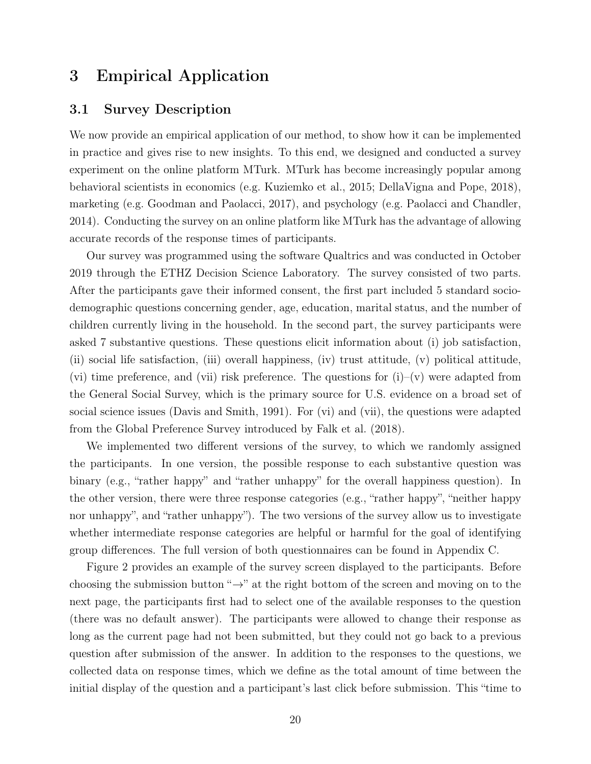# 3 Empirical Application

### 3.1 Survey Description

We now provide an empirical application of our method, to show how it can be implemented in practice and gives rise to new insights. To this end, we designed and conducted a survey experiment on the online platform MTurk. MTurk has become increasingly popular among behavioral scientists in economics (e.g. Kuziemko et al., 2015; DellaVigna and Pope, 2018), marketing (e.g. Goodman and Paolacci, 2017), and psychology (e.g. Paolacci and Chandler, 2014). Conducting the survey on an online platform like MTurk has the advantage of allowing accurate records of the response times of participants.

Our survey was programmed using the software Qualtrics and was conducted in October 2019 through the ETHZ Decision Science Laboratory. The survey consisted of two parts. After the participants gave their informed consent, the first part included 5 standard sociodemographic questions concerning gender, age, education, marital status, and the number of children currently living in the household. In the second part, the survey participants were asked 7 substantive questions. These questions elicit information about (i) job satisfaction, (ii) social life satisfaction, (iii) overall happiness, (iv) trust attitude, (v) political attitude, (vi) time preference, and (vii) risk preference. The questions for  $(i)-(v)$  were adapted from the General Social Survey, which is the primary source for U.S. evidence on a broad set of social science issues (Davis and Smith, 1991). For (vi) and (vii), the questions were adapted from the Global Preference Survey introduced by Falk et al. (2018).

We implemented two different versions of the survey, to which we randomly assigned the participants. In one version, the possible response to each substantive question was binary (e.g., "rather happy" and "rather unhappy" for the overall happiness question). In the other version, there were three response categories (e.g., "rather happy", "neither happy nor unhappy", and "rather unhappy"). The two versions of the survey allow us to investigate whether intermediate response categories are helpful or harmful for the goal of identifying group differences. The full version of both questionnaires can be found in Appendix C.

Figure 2 provides an example of the survey screen displayed to the participants. Before choosing the submission button " $\rightarrow$ " at the right bottom of the screen and moving on to the next page, the participants first had to select one of the available responses to the question (there was no default answer). The participants were allowed to change their response as long as the current page had not been submitted, but they could not go back to a previous question after submission of the answer. In addition to the responses to the questions, we collected data on response times, which we define as the total amount of time between the initial display of the question and a participant's last click before submission. This "time to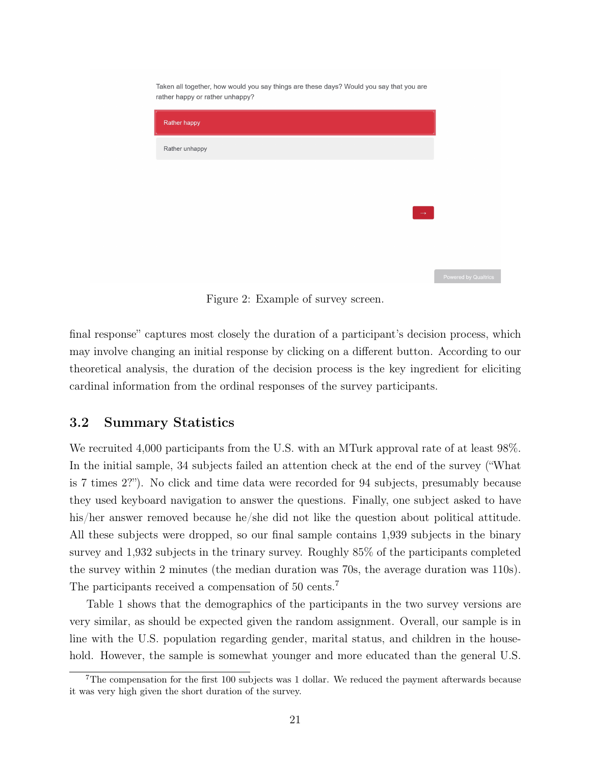| Taken all together, now would you say things are these days? Would you say that you are<br>rather happy or rather unhappy? |
|----------------------------------------------------------------------------------------------------------------------------|
| Rather happy                                                                                                               |
| Rather unhappy                                                                                                             |
|                                                                                                                            |
|                                                                                                                            |
| $\rightarrow$                                                                                                              |
|                                                                                                                            |
|                                                                                                                            |

Figure 2: Example of survey screen.

final response" captures most closely the duration of a participant's decision process, which may involve changing an initial response by clicking on a different button. According to our theoretical analysis, the duration of the decision process is the key ingredient for eliciting cardinal information from the ordinal responses of the survey participants.

### 3.2 Summary Statistics

We recruited 4,000 participants from the U.S. with an MTurk approval rate of at least 98%. In the initial sample, 34 subjects failed an attention check at the end of the survey ("What is 7 times 2?"). No click and time data were recorded for 94 subjects, presumably because they used keyboard navigation to answer the questions. Finally, one subject asked to have his/her answer removed because he/she did not like the question about political attitude. All these subjects were dropped, so our final sample contains 1,939 subjects in the binary survey and 1,932 subjects in the trinary survey. Roughly 85% of the participants completed the survey within 2 minutes (the median duration was 70s, the average duration was 110s). The participants received a compensation of 50 cents.<sup>7</sup>

Table 1 shows that the demographics of the participants in the two survey versions are very similar, as should be expected given the random assignment. Overall, our sample is in line with the U.S. population regarding gender, marital status, and children in the household. However, the sample is somewhat younger and more educated than the general U.S.

 $7$ The compensation for the first 100 subjects was 1 dollar. We reduced the payment afterwards because it was very high given the short duration of the survey.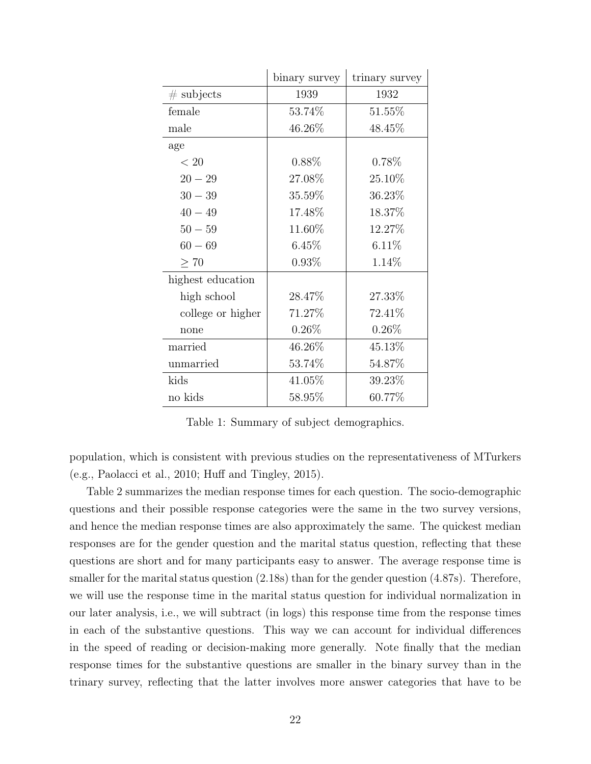|                   | binary survey | trinary survey |
|-------------------|---------------|----------------|
| $\#$ subjects     | 1939          | 1932           |
| female            | 53.74%        | 51.55%         |
| male              | 46.26%        | 48.45%         |
| age               |               |                |
| $< 20$            | $0.88\%$      | $0.78\%$       |
| $20 - 29$         | 27.08%        | 25.10%         |
| $30 - 39$         | 35.59%        | 36.23%         |
| $40 - 49$         | 17.48%        | 18.37%         |
| $50 - 59$         | 11.60%        | 12.27%         |
| $60 - 69$         | 6.45%         | 6.11%          |
| > 70              | $0.93\%$      | 1.14%          |
| highest education |               |                |
| high school       | 28.47%        | 27.33%         |
| college or higher | 71.27%        | 72.41\%        |
| none              | $0.26\%$      | $0.26\%$       |
| married           | 46.26%        | 45.13%         |
| unmarried         | 53.74%        | 54.87%         |
| kids              | 41.05%        | 39.23%         |
| no kids           | 58.95%        | 60.77%         |

Table 1: Summary of subject demographics.

population, which is consistent with previous studies on the representativeness of MTurkers (e.g., Paolacci et al., 2010; Huff and Tingley, 2015).

Table 2 summarizes the median response times for each question. The socio-demographic questions and their possible response categories were the same in the two survey versions, and hence the median response times are also approximately the same. The quickest median responses are for the gender question and the marital status question, reflecting that these questions are short and for many participants easy to answer. The average response time is smaller for the marital status question  $(2.18s)$  than for the gender question  $(4.87s)$ . Therefore, we will use the response time in the marital status question for individual normalization in our later analysis, i.e., we will subtract (in logs) this response time from the response times in each of the substantive questions. This way we can account for individual differences in the speed of reading or decision-making more generally. Note finally that the median response times for the substantive questions are smaller in the binary survey than in the trinary survey, reflecting that the latter involves more answer categories that have to be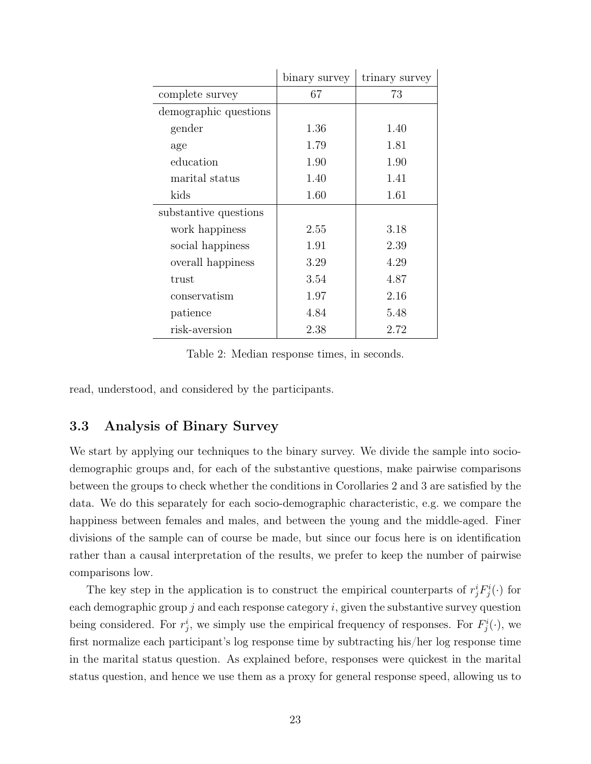|                       | binary survey | trinary survey |  |
|-----------------------|---------------|----------------|--|
| complete survey       | 67            | 73             |  |
| demographic questions |               |                |  |
| gender                | 1.36          | 1.40           |  |
| age                   | 1.79          | 1.81           |  |
| education             | 1.90          | 1.90           |  |
| marital status        | 1.40          | 1.41           |  |
| kids                  | 1.60          | 1.61           |  |
| substantive questions |               |                |  |
| work happiness        | 2.55          | 3.18           |  |
| social happiness      | 1.91          | 2.39           |  |
| overall happiness     | 3.29          | 4.29           |  |
| trust                 | 3.54          | 4.87           |  |
| conservatism          | 1.97          | 2.16           |  |
| patience              | 4.84          | 5.48           |  |
| risk-aversion         | 2.38          | 2.72           |  |

Table 2: Median response times, in seconds.

read, understood, and considered by the participants.

### 3.3 Analysis of Binary Survey

We start by applying our techniques to the binary survey. We divide the sample into sociodemographic groups and, for each of the substantive questions, make pairwise comparisons between the groups to check whether the conditions in Corollaries 2 and 3 are satisfied by the data. We do this separately for each socio-demographic characteristic, e.g. we compare the happiness between females and males, and between the young and the middle-aged. Finer divisions of the sample can of course be made, but since our focus here is on identification rather than a causal interpretation of the results, we prefer to keep the number of pairwise comparisons low.

The key step in the application is to construct the empirical counterparts of  $r_j^i F_j^i(\cdot)$  for each demographic group  $j$  and each response category  $i$ , given the substantive survey question being considered. For  $r_j^i$ , we simply use the empirical frequency of responses. For  $F_j^i(\cdot)$ , we first normalize each participant's log response time by subtracting his/her log response time in the marital status question. As explained before, responses were quickest in the marital status question, and hence we use them as a proxy for general response speed, allowing us to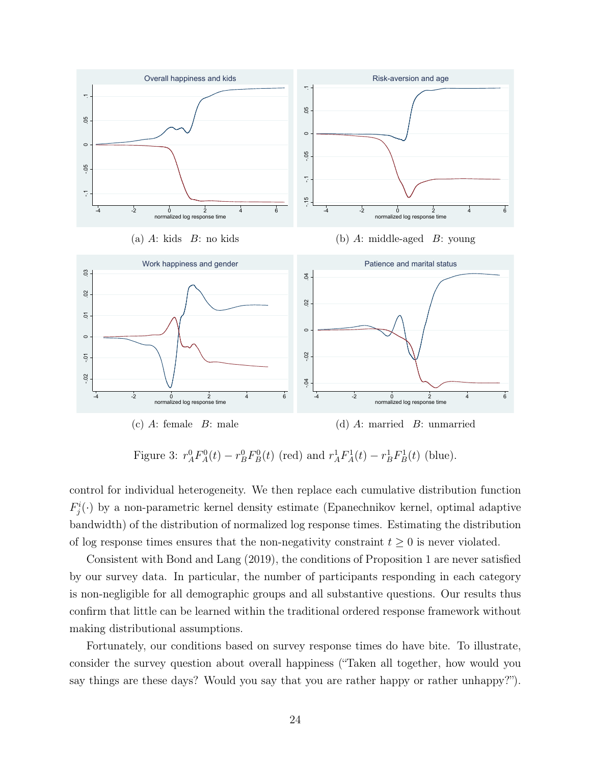

Figure 3:  $r_A^0 F_A^0(t) - r_B^0 F_B^0(t)$  (red) and  $r_A^1 F_A^1(t) - r_B^1 F_B^1(t)$  (blue).

control for individual heterogeneity. We then replace each cumulative distribution function  $F_j^i(\cdot)$  by a non-parametric kernel density estimate (Epanechnikov kernel, optimal adaptive bandwidth) of the distribution of normalized log response times. Estimating the distribution of log response times ensures that the non-negativity constraint  $t \geq 0$  is never violated.

Consistent with Bond and Lang (2019), the conditions of Proposition 1 are never satisfied by our survey data. In particular, the number of participants responding in each category is non-negligible for all demographic groups and all substantive questions. Our results thus confirm that little can be learned within the traditional ordered response framework without making distributional assumptions.

Fortunately, our conditions based on survey response times do have bite. To illustrate, consider the survey question about overall happiness ("Taken all together, how would you say things are these days? Would you say that you are rather happy or rather unhappy?").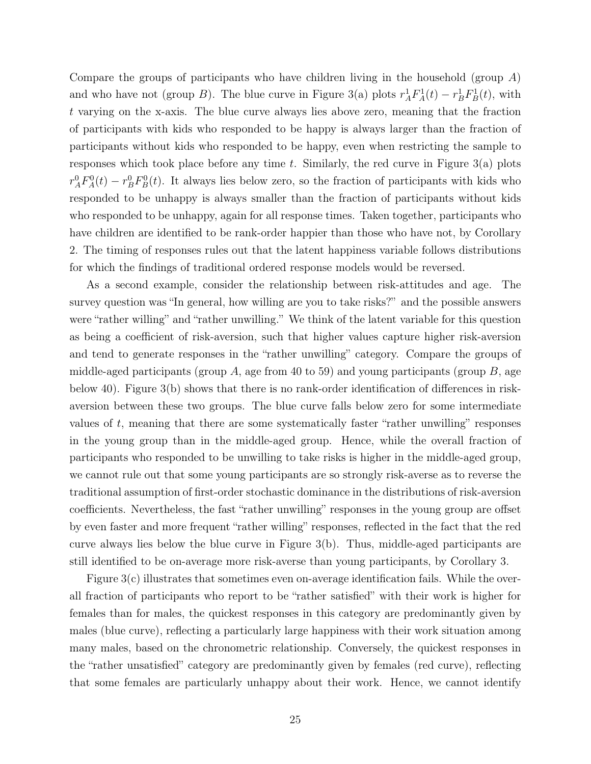Compare the groups of participants who have children living in the household (group A) and who have not (group B). The blue curve in Figure 3(a) plots  $r_A^1 F_A^1(t) - r_B^1 F_B^1(t)$ , with t varying on the x-axis. The blue curve always lies above zero, meaning that the fraction of participants with kids who responded to be happy is always larger than the fraction of participants without kids who responded to be happy, even when restricting the sample to responses which took place before any time  $t$ . Similarly, the red curve in Figure 3(a) plots  $r_A^0 F_A^0(t) - r_B^0 F_B^0(t)$ . It always lies below zero, so the fraction of participants with kids who responded to be unhappy is always smaller than the fraction of participants without kids who responded to be unhappy, again for all response times. Taken together, participants who have children are identified to be rank-order happier than those who have not, by Corollary 2. The timing of responses rules out that the latent happiness variable follows distributions for which the findings of traditional ordered response models would be reversed.

As a second example, consider the relationship between risk-attitudes and age. The survey question was "In general, how willing are you to take risks?" and the possible answers were "rather willing" and "rather unwilling." We think of the latent variable for this question as being a coefficient of risk-aversion, such that higher values capture higher risk-aversion and tend to generate responses in the "rather unwilling" category. Compare the groups of middle-aged participants (group A, age from 40 to 59) and young participants (group  $B$ , age below 40). Figure 3(b) shows that there is no rank-order identification of differences in riskaversion between these two groups. The blue curve falls below zero for some intermediate values of t, meaning that there are some systematically faster "rather unwilling" responses in the young group than in the middle-aged group. Hence, while the overall fraction of participants who responded to be unwilling to take risks is higher in the middle-aged group, we cannot rule out that some young participants are so strongly risk-averse as to reverse the traditional assumption of first-order stochastic dominance in the distributions of risk-aversion coefficients. Nevertheless, the fast "rather unwilling" responses in the young group are offset by even faster and more frequent "rather willing" responses, reflected in the fact that the red curve always lies below the blue curve in Figure 3(b). Thus, middle-aged participants are still identified to be on-average more risk-averse than young participants, by Corollary 3.

Figure 3(c) illustrates that sometimes even on-average identification fails. While the overall fraction of participants who report to be "rather satisfied" with their work is higher for females than for males, the quickest responses in this category are predominantly given by males (blue curve), reflecting a particularly large happiness with their work situation among many males, based on the chronometric relationship. Conversely, the quickest responses in the "rather unsatisfied" category are predominantly given by females (red curve), reflecting that some females are particularly unhappy about their work. Hence, we cannot identify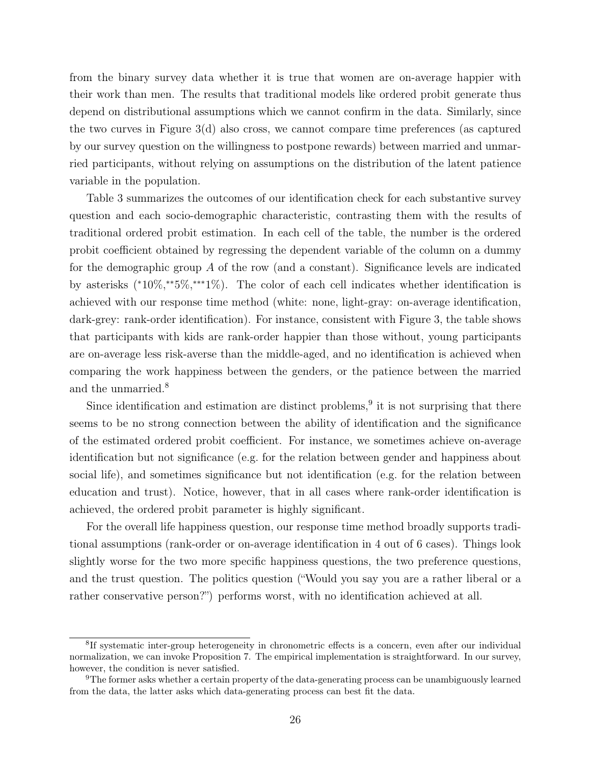from the binary survey data whether it is true that women are on-average happier with their work than men. The results that traditional models like ordered probit generate thus depend on distributional assumptions which we cannot confirm in the data. Similarly, since the two curves in Figure  $3(d)$  also cross, we cannot compare time preferences (as captured by our survey question on the willingness to postpone rewards) between married and unmarried participants, without relying on assumptions on the distribution of the latent patience variable in the population.

Table 3 summarizes the outcomes of our identification check for each substantive survey question and each socio-demographic characteristic, contrasting them with the results of traditional ordered probit estimation. In each cell of the table, the number is the ordered probit coefficient obtained by regressing the dependent variable of the column on a dummy for the demographic group A of the row (and a constant). Significance levels are indicated by asterisks (\*10%,\*\*5%,\*\*\*1%). The color of each cell indicates whether identification is achieved with our response time method (white: none, light-gray: on-average identification, dark-grey: rank-order identification). For instance, consistent with Figure 3, the table shows that participants with kids are rank-order happier than those without, young participants are on-average less risk-averse than the middle-aged, and no identification is achieved when comparing the work happiness between the genders, or the patience between the married and the unmarried.<sup>8</sup>

Since identification and estimation are distinct problems,<sup>9</sup> it is not surprising that there seems to be no strong connection between the ability of identification and the significance of the estimated ordered probit coefficient. For instance, we sometimes achieve on-average identification but not significance (e.g. for the relation between gender and happiness about social life), and sometimes significance but not identification (e.g. for the relation between education and trust). Notice, however, that in all cases where rank-order identification is achieved, the ordered probit parameter is highly significant.

For the overall life happiness question, our response time method broadly supports traditional assumptions (rank-order or on-average identification in 4 out of 6 cases). Things look slightly worse for the two more specific happiness questions, the two preference questions, and the trust question. The politics question ("Would you say you are a rather liberal or a rather conservative person?") performs worst, with no identification achieved at all.

<sup>&</sup>lt;sup>8</sup>If systematic inter-group heterogeneity in chronometric effects is a concern, even after our individual normalization, we can invoke Proposition 7. The empirical implementation is straightforward. In our survey, however, the condition is never satisfied.

<sup>9</sup>The former asks whether a certain property of the data-generating process can be unambiguously learned from the data, the latter asks which data-generating process can best fit the data.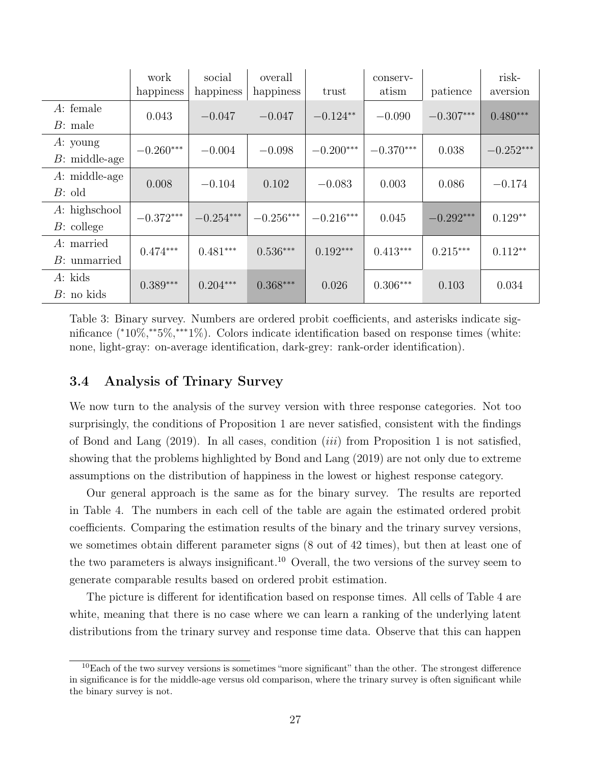|                 | work        | social      | overall     |             | conserv-    |             | risk-       |
|-----------------|-------------|-------------|-------------|-------------|-------------|-------------|-------------|
|                 | happiness   | happiness   | happiness   | trust       | atism       | patience    | aversion    |
| $A$ : female    | 0.043       | $-0.047$    | $-0.047$    | $-0.124**$  | $-0.090$    | $-0.307***$ | $0.480***$  |
| $B:$ male       |             |             |             |             |             |             |             |
| $A:$ young      | $-0.260***$ | $-0.004$    | $-0.098$    | $-0.200***$ | $-0.370***$ | 0.038       | $-0.252***$ |
| $B:$ middle-age |             |             |             |             |             |             |             |
| A: middle-age   | 0.008       | $-0.104$    | 0.102       | $-0.083$    | 0.003       | 0.086       | $-0.174$    |
| $B:$ old        |             |             |             |             |             |             |             |
| $A:$ highschool | $-0.372***$ | $-0.254***$ | $-0.256***$ | $-0.216***$ | 0.045       | $-0.292***$ | $0.129**$   |
| $B:$ college    |             |             |             |             |             |             |             |
| A: married      | $0.474***$  | $0.481***$  | $0.536***$  | $0.192***$  | $0.413***$  | $0.215***$  | $0.112**$   |
| $B:$ unmarried  |             |             |             |             |             |             |             |
| $A$ : kids      | $0.389***$  | $0.204***$  | $0.368***$  | 0.026       | $0.306***$  | 0.103       | 0.034       |
| $B:$ no kids    |             |             |             |             |             |             |             |

Table 3: Binary survey. Numbers are ordered probit coefficients, and asterisks indicate significance (\*10%,\*\*5%,\*\*\*1%). Colors indicate identification based on response times (white: none, light-gray: on-average identification, dark-grey: rank-order identification).

### 3.4 Analysis of Trinary Survey

We now turn to the analysis of the survey version with three response categories. Not too surprisingly, the conditions of Proposition 1 are never satisfied, consistent with the findings of Bond and Lang  $(2019)$ . In all cases, condition  $(iii)$  from Proposition 1 is not satisfied, showing that the problems highlighted by Bond and Lang (2019) are not only due to extreme assumptions on the distribution of happiness in the lowest or highest response category.

Our general approach is the same as for the binary survey. The results are reported in Table 4. The numbers in each cell of the table are again the estimated ordered probit coefficients. Comparing the estimation results of the binary and the trinary survey versions, we sometimes obtain different parameter signs (8 out of 42 times), but then at least one of the two parameters is always insignificant.<sup>10</sup> Overall, the two versions of the survey seem to generate comparable results based on ordered probit estimation.

The picture is different for identification based on response times. All cells of Table 4 are white, meaning that there is no case where we can learn a ranking of the underlying latent distributions from the trinary survey and response time data. Observe that this can happen

 $10$ Each of the two survey versions is sometimes "more significant" than the other. The strongest difference in significance is for the middle-age versus old comparison, where the trinary survey is often significant while the binary survey is not.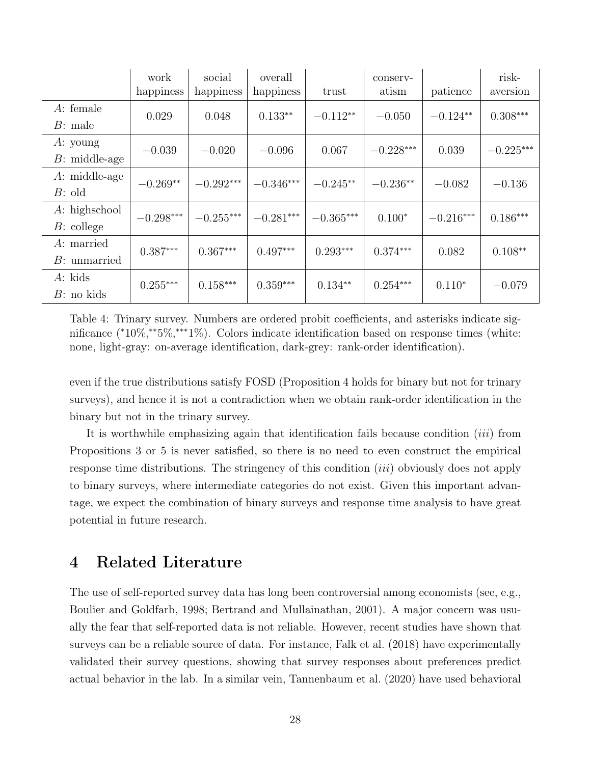|                 | work        | social      | overall     |             | conserv-    |             | risk-       |
|-----------------|-------------|-------------|-------------|-------------|-------------|-------------|-------------|
|                 | happiness   | happiness   | happiness   | trust       | atism       | patience    | aversion    |
| $A$ : female    |             | 0.048       | $0.133**$   | $-0.112**$  | $-0.050$    | $-0.124**$  | $0.308***$  |
| $B:$ male       | 0.029       |             |             |             |             |             |             |
| $A:$ young      | $-0.039$    | $-0.020$    | $-0.096$    | 0.067       | $-0.228***$ | 0.039       | $-0.225***$ |
| $B:$ middle-age |             |             |             |             |             |             |             |
| $A:$ middle-age |             | $-0.292***$ | $-0.346***$ | $-0.245**$  | $-0.236**$  |             |             |
| $B:$ old        | $-0.269**$  |             |             |             |             | $-0.082$    | $-0.136$    |
| $A:$ highschool | $-0.298***$ | $-0.255***$ | $-0.281***$ | $-0.365***$ | $0.100*$    | $-0.216***$ | $0.186***$  |
| $B:$ college    |             |             |             |             |             |             |             |
| A: married      | $0.387***$  | $0.367***$  | $0.497***$  | $0.293***$  | $0.374***$  | 0.082       | $0.108**$   |
| $B:$ unmarried  |             |             |             |             |             |             |             |
| $A$ : kids      | $0.255***$  | $0.158***$  | $0.359***$  | $0.134**$   | $0.254***$  | $0.110*$    |             |
| $B:$ no kids    |             |             |             |             |             |             | $-0.079$    |

Table 4: Trinary survey. Numbers are ordered probit coefficients, and asterisks indicate significance (\*10%,\*\*5%,\*\*\*1%). Colors indicate identification based on response times (white: none, light-gray: on-average identification, dark-grey: rank-order identification).

even if the true distributions satisfy FOSD (Proposition 4 holds for binary but not for trinary surveys), and hence it is not a contradiction when we obtain rank-order identification in the binary but not in the trinary survey.

It is worthwhile emphasizing again that identification fails because condition *(iii)* from Propositions 3 or 5 is never satisfied, so there is no need to even construct the empirical response time distributions. The stringency of this condition (iii) obviously does not apply to binary surveys, where intermediate categories do not exist. Given this important advantage, we expect the combination of binary surveys and response time analysis to have great potential in future research.

# 4 Related Literature

The use of self-reported survey data has long been controversial among economists (see, e.g., Boulier and Goldfarb, 1998; Bertrand and Mullainathan, 2001). A major concern was usually the fear that self-reported data is not reliable. However, recent studies have shown that surveys can be a reliable source of data. For instance, Falk et al. (2018) have experimentally validated their survey questions, showing that survey responses about preferences predict actual behavior in the lab. In a similar vein, Tannenbaum et al. (2020) have used behavioral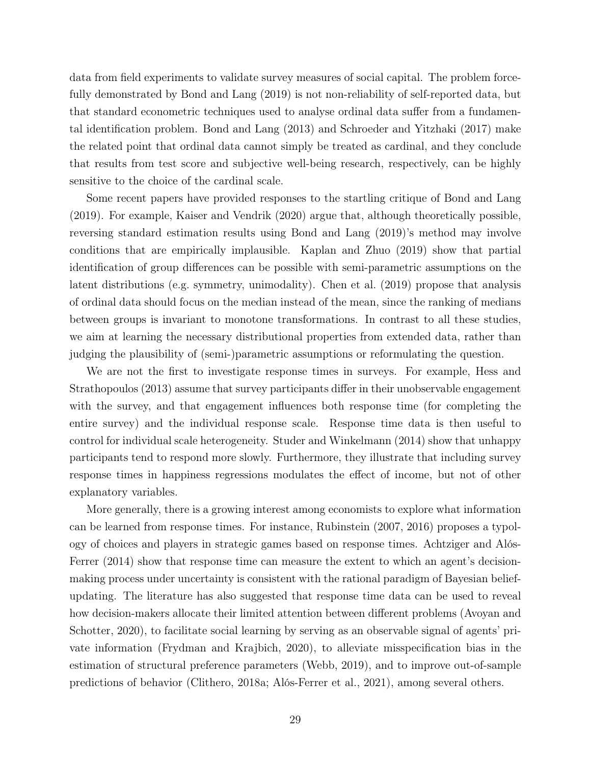data from field experiments to validate survey measures of social capital. The problem forcefully demonstrated by Bond and Lang (2019) is not non-reliability of self-reported data, but that standard econometric techniques used to analyse ordinal data suffer from a fundamental identification problem. Bond and Lang (2013) and Schroeder and Yitzhaki (2017) make the related point that ordinal data cannot simply be treated as cardinal, and they conclude that results from test score and subjective well-being research, respectively, can be highly sensitive to the choice of the cardinal scale.

Some recent papers have provided responses to the startling critique of Bond and Lang (2019). For example, Kaiser and Vendrik (2020) argue that, although theoretically possible, reversing standard estimation results using Bond and Lang (2019)'s method may involve conditions that are empirically implausible. Kaplan and Zhuo (2019) show that partial identification of group differences can be possible with semi-parametric assumptions on the latent distributions (e.g. symmetry, unimodality). Chen et al. (2019) propose that analysis of ordinal data should focus on the median instead of the mean, since the ranking of medians between groups is invariant to monotone transformations. In contrast to all these studies, we aim at learning the necessary distributional properties from extended data, rather than judging the plausibility of (semi-)parametric assumptions or reformulating the question.

We are not the first to investigate response times in surveys. For example, Hess and Strathopoulos (2013) assume that survey participants differ in their unobservable engagement with the survey, and that engagement influences both response time (for completing the entire survey) and the individual response scale. Response time data is then useful to control for individual scale heterogeneity. Studer and Winkelmann (2014) show that unhappy participants tend to respond more slowly. Furthermore, they illustrate that including survey response times in happiness regressions modulates the effect of income, but not of other explanatory variables.

More generally, there is a growing interest among economists to explore what information can be learned from response times. For instance, Rubinstein (2007, 2016) proposes a typology of choices and players in strategic games based on response times. Achtziger and Alós-Ferrer  $(2014)$  show that response time can measure the extent to which an agent's decisionmaking process under uncertainty is consistent with the rational paradigm of Bayesian beliefupdating. The literature has also suggested that response time data can be used to reveal how decision-makers allocate their limited attention between different problems (Avoyan and Schotter, 2020), to facilitate social learning by serving as an observable signal of agents' private information (Frydman and Krajbich, 2020), to alleviate misspecification bias in the estimation of structural preference parameters (Webb, 2019), and to improve out-of-sample predictions of behavior (Clithero, 2018a; Alós-Ferrer et al., 2021), among several others.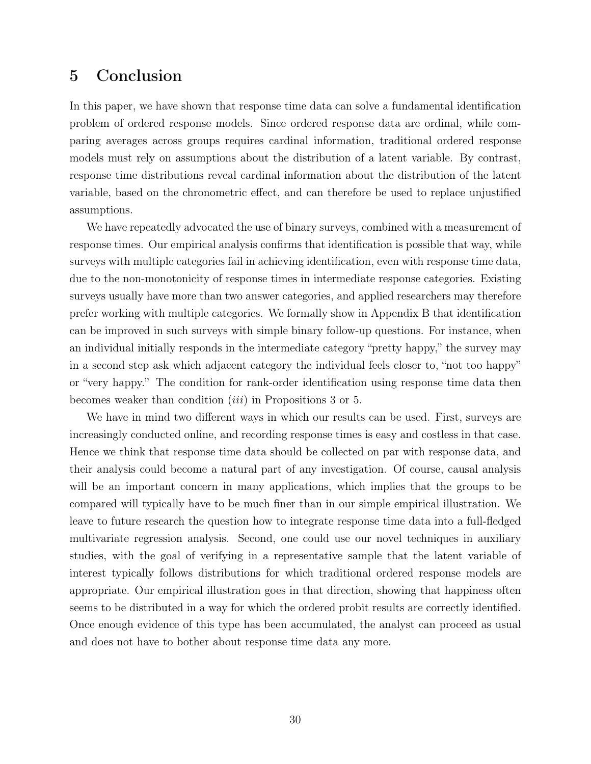# 5 Conclusion

In this paper, we have shown that response time data can solve a fundamental identification problem of ordered response models. Since ordered response data are ordinal, while comparing averages across groups requires cardinal information, traditional ordered response models must rely on assumptions about the distribution of a latent variable. By contrast, response time distributions reveal cardinal information about the distribution of the latent variable, based on the chronometric effect, and can therefore be used to replace unjustified assumptions.

We have repeatedly advocated the use of binary surveys, combined with a measurement of response times. Our empirical analysis confirms that identification is possible that way, while surveys with multiple categories fail in achieving identification, even with response time data, due to the non-monotonicity of response times in intermediate response categories. Existing surveys usually have more than two answer categories, and applied researchers may therefore prefer working with multiple categories. We formally show in Appendix B that identification can be improved in such surveys with simple binary follow-up questions. For instance, when an individual initially responds in the intermediate category "pretty happy," the survey may in a second step ask which adjacent category the individual feels closer to, "not too happy" or "very happy." The condition for rank-order identification using response time data then becomes weaker than condition (iii) in Propositions 3 or 5.

We have in mind two different ways in which our results can be used. First, surveys are increasingly conducted online, and recording response times is easy and costless in that case. Hence we think that response time data should be collected on par with response data, and their analysis could become a natural part of any investigation. Of course, causal analysis will be an important concern in many applications, which implies that the groups to be compared will typically have to be much finer than in our simple empirical illustration. We leave to future research the question how to integrate response time data into a full-fledged multivariate regression analysis. Second, one could use our novel techniques in auxiliary studies, with the goal of verifying in a representative sample that the latent variable of interest typically follows distributions for which traditional ordered response models are appropriate. Our empirical illustration goes in that direction, showing that happiness often seems to be distributed in a way for which the ordered probit results are correctly identified. Once enough evidence of this type has been accumulated, the analyst can proceed as usual and does not have to bother about response time data any more.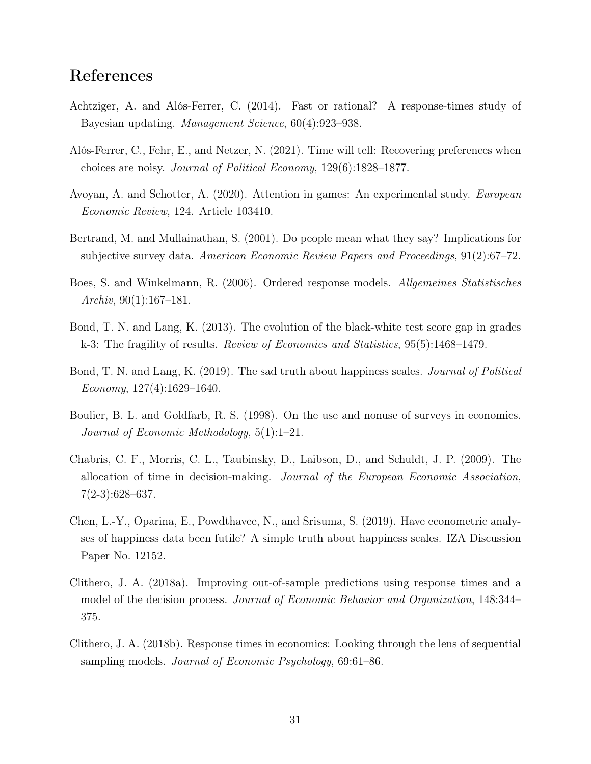# References

- Achtziger, A. and Alós-Ferrer, C. (2014). Fast or rational? A response-times study of Bayesian updating. Management Science, 60(4):923–938.
- Alós-Ferrer, C., Fehr, E., and Netzer, N. (2021). Time will tell: Recovering preferences when choices are noisy. Journal of Political Economy, 129(6):1828–1877.
- Avoyan, A. and Schotter, A. (2020). Attention in games: An experimental study. European Economic Review, 124. Article 103410.
- Bertrand, M. and Mullainathan, S. (2001). Do people mean what they say? Implications for subjective survey data. American Economic Review Papers and Proceedings, 91(2):67–72.
- Boes, S. and Winkelmann, R. (2006). Ordered response models. Allgemeines Statistisches Archiv,  $90(1):167-181$ .
- Bond, T. N. and Lang, K. (2013). The evolution of the black-white test score gap in grades k-3: The fragility of results. Review of Economics and Statistics, 95(5):1468–1479.
- Bond, T. N. and Lang, K. (2019). The sad truth about happiness scales. Journal of Political Economy,  $127(4):1629-1640$ .
- Boulier, B. L. and Goldfarb, R. S. (1998). On the use and nonuse of surveys in economics. Journal of Economic Methodology, 5(1):1–21.
- Chabris, C. F., Morris, C. L., Taubinsky, D., Laibson, D., and Schuldt, J. P. (2009). The allocation of time in decision-making. Journal of the European Economic Association, 7(2-3):628–637.
- Chen, L.-Y., Oparina, E., Powdthavee, N., and Srisuma, S. (2019). Have econometric analyses of happiness data been futile? A simple truth about happiness scales. IZA Discussion Paper No. 12152.
- Clithero, J. A. (2018a). Improving out-of-sample predictions using response times and a model of the decision process. Journal of Economic Behavior and Organization, 148:344– 375.
- Clithero, J. A. (2018b). Response times in economics: Looking through the lens of sequential sampling models. *Journal of Economic Psychology*, 69:61–86.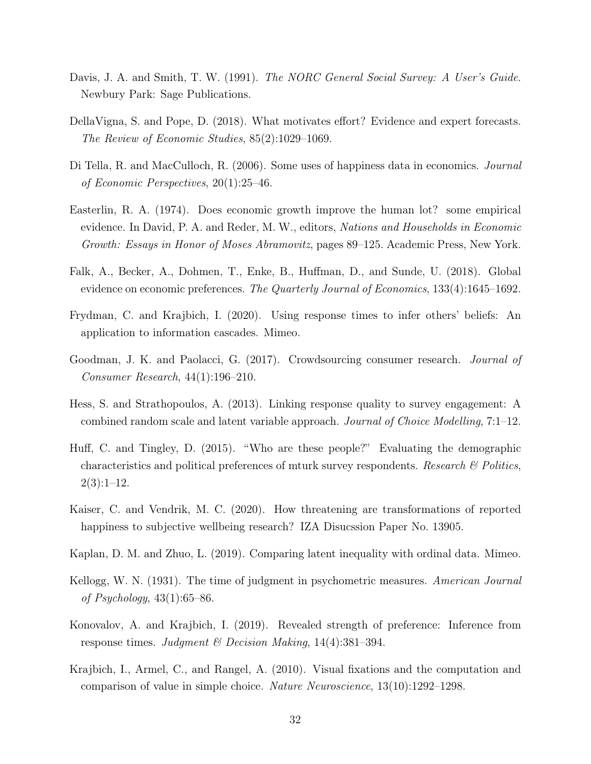- Davis, J. A. and Smith, T. W. (1991). The NORC General Social Survey: A User's Guide. Newbury Park: Sage Publications.
- DellaVigna, S. and Pope, D. (2018). What motivates effort? Evidence and expert forecasts. The Review of Economic Studies, 85(2):1029–1069.
- Di Tella, R. and MacCulloch, R. (2006). Some uses of happiness data in economics. Journal of Economic Perspectives, 20(1):25–46.
- Easterlin, R. A. (1974). Does economic growth improve the human lot? some empirical evidence. In David, P. A. and Reder, M. W., editors, Nations and Households in Economic Growth: Essays in Honor of Moses Abramovitz, pages 89–125. Academic Press, New York.
- Falk, A., Becker, A., Dohmen, T., Enke, B., Huffman, D., and Sunde, U. (2018). Global evidence on economic preferences. The Quarterly Journal of Economics, 133(4):1645–1692.
- Frydman, C. and Krajbich, I. (2020). Using response times to infer others' beliefs: An application to information cascades. Mimeo.
- Goodman, J. K. and Paolacci, G. (2017). Crowdsourcing consumer research. Journal of Consumer Research, 44(1):196–210.
- Hess, S. and Strathopoulos, A. (2013). Linking response quality to survey engagement: A combined random scale and latent variable approach. Journal of Choice Modelling, 7:1–12.
- Huff, C. and Tingley, D. (2015). "Who are these people?" Evaluating the demographic characteristics and political preferences of mturk survey respondents. Research  $\mathcal{C}_{P}$  Politics,  $2(3):1-12.$
- Kaiser, C. and Vendrik, M. C. (2020). How threatening are transformations of reported happiness to subjective wellbeing research? IZA Disucssion Paper No. 13905.
- Kaplan, D. M. and Zhuo, L. (2019). Comparing latent inequality with ordinal data. Mimeo.
- Kellogg, W. N. (1931). The time of judgment in psychometric measures. American Journal of Psychology, 43(1):65–86.
- Konovalov, A. and Krajbich, I. (2019). Revealed strength of preference: Inference from response times. Judgment & Decision Making, 14(4):381-394.
- Krajbich, I., Armel, C., and Rangel, A. (2010). Visual fixations and the computation and comparison of value in simple choice. Nature Neuroscience, 13(10):1292–1298.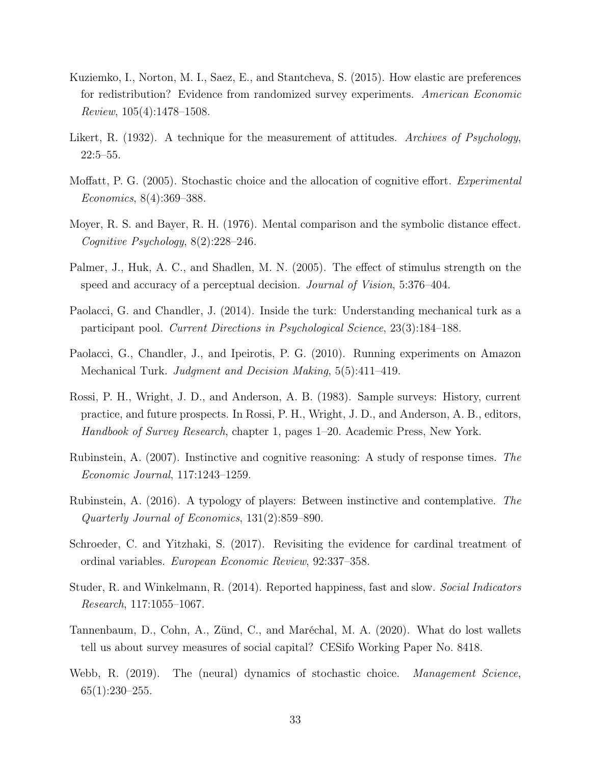- Kuziemko, I., Norton, M. I., Saez, E., and Stantcheva, S. (2015). How elastic are preferences for redistribution? Evidence from randomized survey experiments. American Economic Review, 105(4):1478–1508.
- Likert, R. (1932). A technique for the measurement of attitudes. Archives of Psychology, 22:5–55.
- Moffatt, P. G. (2005). Stochastic choice and the allocation of cognitive effort. Experimental Economics, 8(4):369–388.
- Moyer, R. S. and Bayer, R. H. (1976). Mental comparison and the symbolic distance effect. Cognitive Psychology, 8(2):228–246.
- Palmer, J., Huk, A. C., and Shadlen, M. N. (2005). The effect of stimulus strength on the speed and accuracy of a perceptual decision. *Journal of Vision*, 5:376–404.
- Paolacci, G. and Chandler, J. (2014). Inside the turk: Understanding mechanical turk as a participant pool. Current Directions in Psychological Science, 23(3):184–188.
- Paolacci, G., Chandler, J., and Ipeirotis, P. G. (2010). Running experiments on Amazon Mechanical Turk. Judgment and Decision Making, 5(5):411–419.
- Rossi, P. H., Wright, J. D., and Anderson, A. B. (1983). Sample surveys: History, current practice, and future prospects. In Rossi, P. H., Wright, J. D., and Anderson, A. B., editors, Handbook of Survey Research, chapter 1, pages 1–20. Academic Press, New York.
- Rubinstein, A. (2007). Instinctive and cognitive reasoning: A study of response times. The Economic Journal, 117:1243–1259.
- Rubinstein, A. (2016). A typology of players: Between instinctive and contemplative. The Quarterly Journal of Economics, 131(2):859–890.
- Schroeder, C. and Yitzhaki, S. (2017). Revisiting the evidence for cardinal treatment of ordinal variables. European Economic Review, 92:337–358.
- Studer, R. and Winkelmann, R. (2014). Reported happiness, fast and slow. Social Indicators Research, 117:1055–1067.
- Tannenbaum, D., Cohn, A., Zünd, C., and Maréchal, M. A. (2020). What do lost wallets tell us about survey measures of social capital? CESifo Working Paper No. 8418.
- Webb, R. (2019). The (neural) dynamics of stochastic choice. Management Science,  $65(1):230-255.$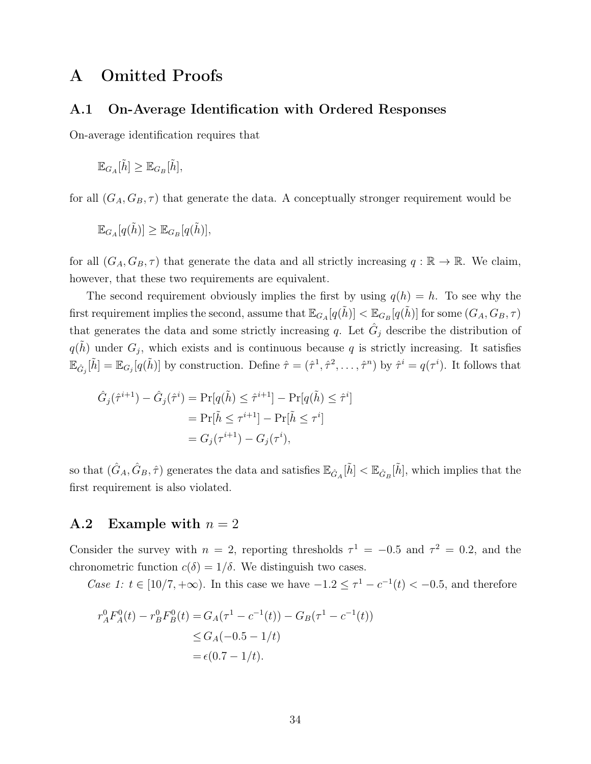# A Omitted Proofs

### A.1 On-Average Identification with Ordered Responses

On-average identification requires that

$$
\mathbb{E}_{G_A}[\tilde{h}] \geq \mathbb{E}_{G_B}[\tilde{h}],
$$

for all  $(G_A, G_B, \tau)$  that generate the data. A conceptually stronger requirement would be

$$
\mathbb{E}_{G_A}[q(\tilde{h})] \geq \mathbb{E}_{G_B}[q(\tilde{h})],
$$

for all  $(G_A, G_B, \tau)$  that generate the data and all strictly increasing  $q : \mathbb{R} \to \mathbb{R}$ . We claim, however, that these two requirements are equivalent.

The second requirement obviously implies the first by using  $q(h) = h$ . To see why the first requirement implies the second, assume that  $\mathbb{E}_{G_A}[q(\tilde{h})]<\mathbb{E}_{G_B}[q(\tilde{h})]$  for some  $(G_A,G_B,\tau)$ that generates the data and some strictly increasing q. Let  $\hat{G}_j$  describe the distribution of  $q(\tilde{h})$  under  $G_j$ , which exists and is continuous because q is strictly increasing. It satisfies  $\mathbb{E}_{\hat{G}_j}[\tilde{h}] = \mathbb{E}_{G_j}[q(\tilde{h})]$  by construction. Define  $\hat{\tau} = (\hat{\tau}^1, \hat{\tau}^2, \dots, \hat{\tau}^n)$  by  $\hat{\tau}^i = q(\tau^i)$ . It follows that

$$
\hat{G}_j(\hat{\tau}^{i+1}) - \hat{G}_j(\hat{\tau}^i) = \Pr[q(\tilde{h}) \le \hat{\tau}^{i+1}] - \Pr[q(\tilde{h}) \le \hat{\tau}^i]
$$

$$
= \Pr[\tilde{h} \le \tau^{i+1}] - \Pr[\tilde{h} \le \tau^i]
$$

$$
= G_j(\tau^{i+1}) - G_j(\tau^i),
$$

so that  $(\hat{G}_A, \hat{G}_B, \hat{\tau})$  generates the data and satisfies  $\mathbb{E}_{\hat{G}_A}[\tilde{h}] < \mathbb{E}_{\hat{G}_B}[\tilde{h}]$ , which implies that the first requirement is also violated.

### A.2 Example with  $n = 2$

Consider the survey with  $n = 2$ , reporting thresholds  $\tau^1 = -0.5$  and  $\tau^2 = 0.2$ , and the chronometric function  $c(\delta) = 1/\delta$ . We distinguish two cases.

Case 1:  $t \in [10/7, +\infty)$ . In this case we have  $-1.2 \leq \tau^1 - c^{-1}(t) < -0.5$ , and therefore

$$
r_A^0 F_A^0(t) - r_B^0 F_B^0(t) = G_A(\tau^1 - c^{-1}(t)) - G_B(\tau^1 - c^{-1}(t))
$$
  
\n
$$
\le G_A(-0.5 - 1/t)
$$
  
\n
$$
= \epsilon(0.7 - 1/t).
$$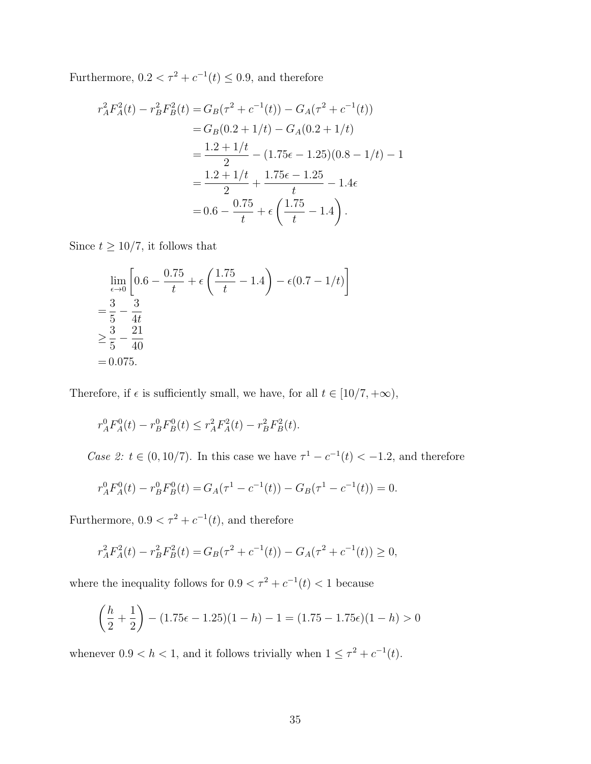Furthermore,  $0.2 < \tau^2 + c^{-1}(t) \le 0.9$ , and therefore

$$
r_A^2 F_A^2(t) - r_B^2 F_B^2(t) = G_B(\tau^2 + c^{-1}(t)) - G_A(\tau^2 + c^{-1}(t))
$$
  
=  $G_B(0.2 + 1/t) - G_A(0.2 + 1/t)$   
=  $\frac{1.2 + 1/t}{2} - (1.75\epsilon - 1.25)(0.8 - 1/t) - 1$   
=  $\frac{1.2 + 1/t}{2} + \frac{1.75\epsilon - 1.25}{t} - 1.4\epsilon$   
=  $0.6 - \frac{0.75}{t} + \epsilon \left(\frac{1.75}{t} - 1.4\right).$ 

Since  $t \geq 10/7$ , it follows that

$$
\lim_{\epsilon \to 0} \left[ 0.6 - \frac{0.75}{t} + \epsilon \left( \frac{1.75}{t} - 1.4 \right) - \epsilon (0.7 - 1/t) \right]
$$
  
=  $\frac{3}{5} - \frac{3}{4t}$   
 $\ge \frac{3}{5} - \frac{21}{40}$   
= 0.075.

Therefore, if  $\epsilon$  is sufficiently small, we have, for all  $t\in [10/7,+\infty),$ 

$$
r_A^0 F_A^0(t) - r_B^0 F_B^0(t) \le r_A^2 F_A^2(t) - r_B^2 F_B^2(t).
$$

Case 2:  $t \in (0, 10/7)$ . In this case we have  $\tau^1 - c^{-1}(t) < -1.2$ , and therefore

$$
r_A^0 F_A^0(t) - r_B^0 F_B^0(t) = G_A(\tau^1 - c^{-1}(t)) - G_B(\tau^1 - c^{-1}(t)) = 0.
$$

Furthermore,  $0.9 < \tau^2 + c^{-1}(t)$ , and therefore

$$
r_A^2 F_A^2(t) - r_B^2 F_B^2(t) = G_B(\tau^2 + c^{-1}(t)) - G_A(\tau^2 + c^{-1}(t)) \ge 0,
$$

where the inequality follows for  $0.9 < \tau^2 + c^{-1}(t) < 1$  because

$$
\left(\frac{h}{2} + \frac{1}{2}\right) - (1.75\epsilon - 1.25)(1 - h) - 1 = (1.75 - 1.75\epsilon)(1 - h) > 0
$$

whenever  $0.9 < h < 1$ , and it follows trivially when  $1 \leq \tau^2 + c^{-1}(t)$ .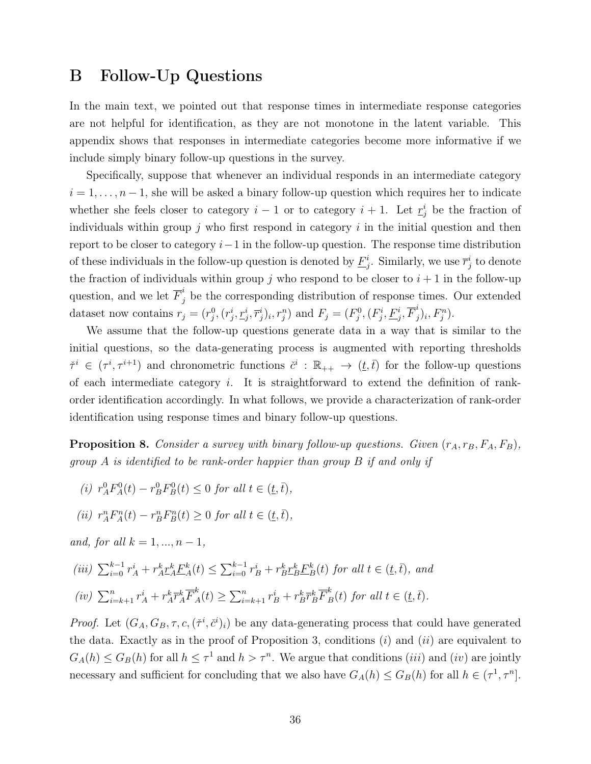# B Follow-Up Questions

In the main text, we pointed out that response times in intermediate response categories are not helpful for identification, as they are not monotone in the latent variable. This appendix shows that responses in intermediate categories become more informative if we include simply binary follow-up questions in the survey.

Specifically, suppose that whenever an individual responds in an intermediate category  $i = 1, \ldots, n-1$ , she will be asked a binary follow-up question which requires her to indicate whether she feels closer to category  $i-1$  or to category  $i+1$ . Let  $\underline{r}_j^i$  be the fraction of individuals within group j who first respond in category  $i$  in the initial question and then report to be closer to category  $i-1$  in the follow-up question. The response time distribution of these individuals in the follow-up question is denoted by  $\underline{F}^i_j$ . Similarly, we use  $\overline{r}^i_j$  to denote the fraction of individuals within group j who respond to be closer to  $i + 1$  in the follow-up question, and we let  $\overline{F}_j^i$  be the corresponding distribution of response times. Our extended dataset now contains  $r_j = (r_j^0, (r_j^i, \underline{r}_j^i, \overline{r}_j^i)_i, r_j^n)$  and  $F_j = (F_j^0, (F_j^i, \underline{F}_j^i, \overline{F}_j^i)$  $_{j}^{i})_{i},F_{j}^{n}).$ 

We assume that the follow-up questions generate data in a way that is similar to the initial questions, so the data-generating process is augmented with reporting thresholds  $\check{\tau}^i \in (\tau^i, \tau^{i+1})$  and chronometric functions  $\check{c}^i : \mathbb{R}_{++} \to (\underline{t}, \overline{t})$  for the follow-up questions of each intermediate category  $i$ . It is straightforward to extend the definition of rankorder identification accordingly. In what follows, we provide a characterization of rank-order identification using response times and binary follow-up questions.

**Proposition 8.** Consider a survey with binary follow-up questions. Given  $(r_A, r_B, F_A, F_B)$ , group A is identified to be rank-order happier than group B if and only if

(i)  $r_A^0 F_A^0(t) - r_B^0 F_B^0(t) \leq 0$  for all  $t \in (\underline{t}, \overline{t}),$ 

(ii) 
$$
r_A^n F_A^n(t) - r_B^n F_B^n(t) \ge 0 \text{ for all } t \in (\underline{t}, \overline{t}),
$$

and, for all  $k = 1, ..., n - 1$ ,

$$
(iii) \sum_{i=0}^{k-1} r_A^i + r_A^k \underline{r}_A^k \underline{F}_A^k(t) \le \sum_{i=0}^{k-1} r_B^i + r_B^k \underline{r}_B^k \underline{F}_B^k(t) \text{ for all } t \in (\underline{t}, \overline{t}), \text{ and}
$$
  

$$
(iv) \sum_{i=k+1}^n r_A^i + r_A^k \overline{r}_A^k \overline{F}_A^k(t) \ge \sum_{i=k+1}^n r_B^i + r_B^k \overline{r}_B^k \overline{F}_B^k(t) \text{ for all } t \in (\underline{t}, \overline{t}).
$$

*Proof.* Let  $(G_A, G_B, \tau, c, (\check{\tau}^i, \check{c}^i)_i)$  be any data-generating process that could have generated the data. Exactly as in the proof of Proposition 3, conditions  $(i)$  and  $(ii)$  are equivalent to  $G_A(h) \leq G_B(h)$  for all  $h \leq \tau^1$  and  $h > \tau^n$ . We argue that conditions *(iii)* and *(iv)* are jointly necessary and sufficient for concluding that we also have  $G_A(h) \leq G_B(h)$  for all  $h \in (\tau^1, \tau^n]$ .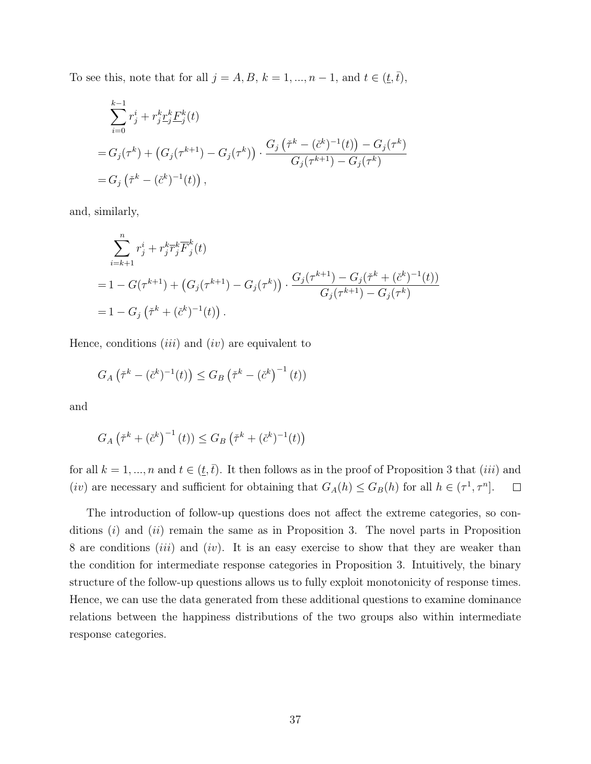To see this, note that for all  $j = A, B, k = 1, ..., n - 1$ , and  $t \in (t, \bar{t})$ ,

$$
\sum_{i=0}^{k-1} r_j^i + r_j^k \underline{r}_j^k \underline{F}_j^k(t)
$$
  
=  $G_j(\tau^k) + (G_j(\tau^{k+1}) - G_j(\tau^k)) \cdot \frac{G_j(\check{\tau}^k - (\check{c}^k)^{-1}(t)) - G_j(\tau^k)}{G_j(\tau^{k+1}) - G_j(\tau^k)}$   
=  $G_j(\check{\tau}^k - (\check{c}^k)^{-1}(t))$ ,

and, similarly,

$$
\sum_{i=k+1}^{n} r_j^i + r_j^k \overline{r}_j^k \overline{F}_j^k(t)
$$
  
= 1 - G(\tau^{k+1}) + (G\_j(\tau^{k+1}) - G\_j(\tau^k)) \cdot \frac{G\_j(\tau^{k+1}) - G\_j(\tilde{\tau}^k + (\check{c}^k)^{-1}(t))}{G\_j(\tau^{k+1}) - G\_j(\tau^k)}  
= 1 - G\_j(\check{\tau}^k + (\check{c}^k)^{-1}(t)).

Hence, conditions  $(iii)$  and  $(iv)$  are equivalent to

$$
G_A\left(\check{\tau}^k - (\check{c}^k)^{-1}(t)\right) \le G_B\left(\check{\tau}^k - (\check{c}^k)^{-1}(t)\right)
$$

and

$$
G_A\left(\check{\tau}^k + (\check{c}^k)^{-1}(t)\right) \le G_B\left(\check{\tau}^k + (\check{c}^k)^{-1}(t)\right)
$$

for all  $k = 1, ..., n$  and  $t \in (\underline{t}, \overline{t})$ . It then follows as in the proof of Proposition 3 that (*iii*) and (*iv*) are necessary and sufficient for obtaining that  $G_A(h) \leq G_B(h)$  for all  $h \in (\tau^1, \tau^n]$ .  $\Box$ 

The introduction of follow-up questions does not affect the extreme categories, so conditions  $(i)$  and  $(ii)$  remain the same as in Proposition 3. The novel parts in Proposition 8 are conditions *(iii)* and *(iv)*. It is an easy exercise to show that they are weaker than the condition for intermediate response categories in Proposition 3. Intuitively, the binary structure of the follow-up questions allows us to fully exploit monotonicity of response times. Hence, we can use the data generated from these additional questions to examine dominance relations between the happiness distributions of the two groups also within intermediate response categories.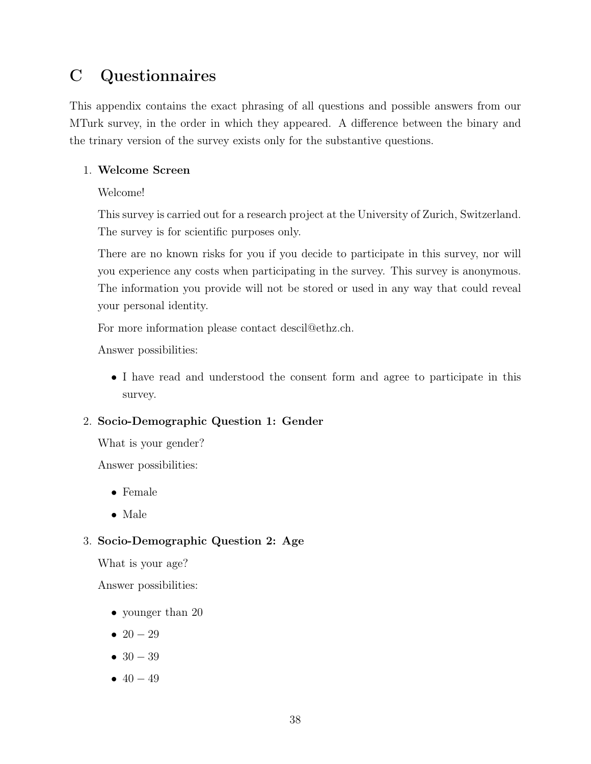# C Questionnaires

This appendix contains the exact phrasing of all questions and possible answers from our MTurk survey, in the order in which they appeared. A difference between the binary and the trinary version of the survey exists only for the substantive questions.

### 1. Welcome Screen

Welcome!

This survey is carried out for a research project at the University of Zurich, Switzerland. The survey is for scientific purposes only.

There are no known risks for you if you decide to participate in this survey, nor will you experience any costs when participating in the survey. This survey is anonymous. The information you provide will not be stored or used in any way that could reveal your personal identity.

For more information please contact descil@ethz.ch.

Answer possibilities:

• I have read and understood the consent form and agree to participate in this survey.

### 2. Socio-Demographic Question 1: Gender

What is your gender?

Answer possibilities:

- Female
- Male

### 3. Socio-Demographic Question 2: Age

What is your age?

Answer possibilities:

- younger than 20
- $20 29$
- $30 39$
- $40 49$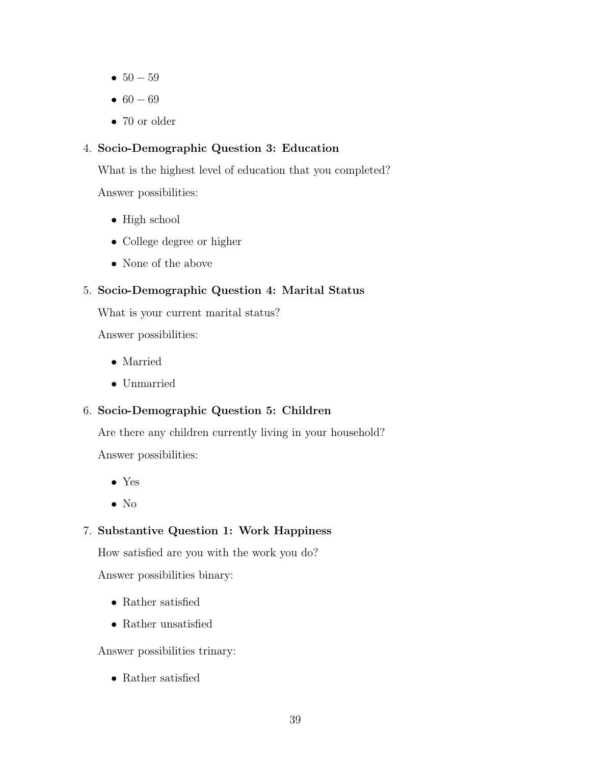- $50 59$
- $60 69$
- 70 or older

### 4. Socio-Demographic Question 3: Education

What is the highest level of education that you completed?

Answer possibilities:

- High school
- College degree or higher
- None of the above

### 5. Socio-Demographic Question 4: Marital Status

What is your current marital status?

Answer possibilities:

- Married
- Unmarried

### 6. Socio-Demographic Question 5: Children

Are there any children currently living in your household?

Answer possibilities:

- Yes
- No

### 7. Substantive Question 1: Work Happiness

How satisfied are you with the work you do?

Answer possibilities binary:

- Rather satisfied
- Rather unsatisfied

Answer possibilities trinary:

• Rather satisfied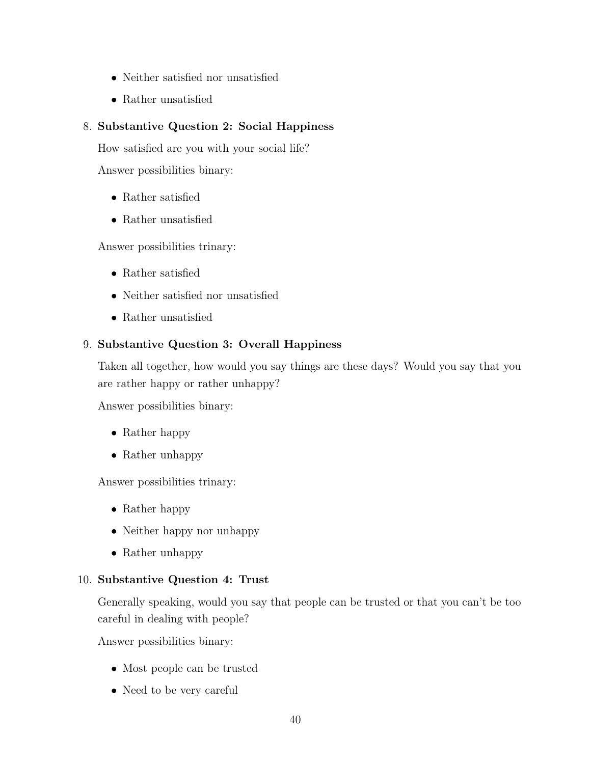- Neither satisfied nor unsatisfied
- Rather unsatisfied

### 8. Substantive Question 2: Social Happiness

How satisfied are you with your social life?

Answer possibilities binary:

- Rather satisfied
- Rather unsatisfied

Answer possibilities trinary:

- Rather satisfied
- Neither satisfied nor unsatisfied
- Rather unsatisfied

### 9. Substantive Question 3: Overall Happiness

Taken all together, how would you say things are these days? Would you say that you are rather happy or rather unhappy?

Answer possibilities binary:

- Rather happy
- Rather unhappy

Answer possibilities trinary:

- Rather happy
- Neither happy nor unhappy
- Rather unhappy

### 10. Substantive Question 4: Trust

Generally speaking, would you say that people can be trusted or that you can't be too careful in dealing with people?

Answer possibilities binary:

- Most people can be trusted
- Need to be very careful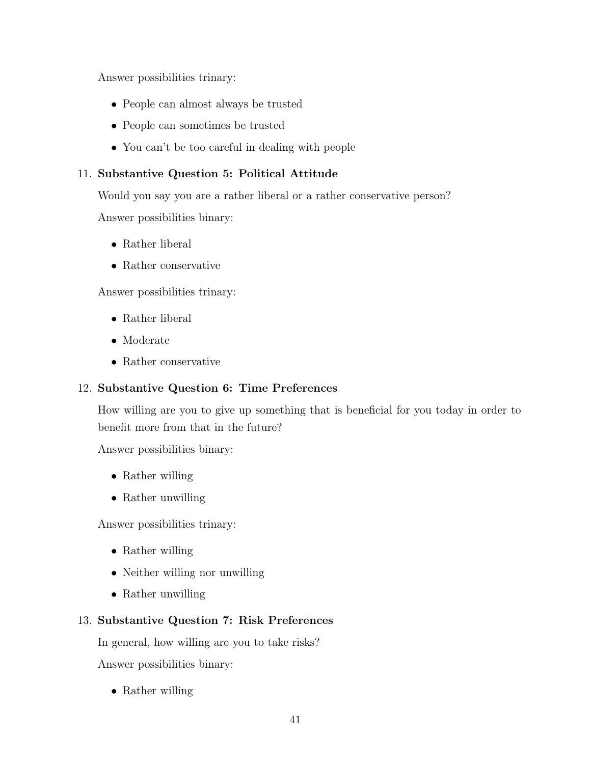Answer possibilities trinary:

- People can almost always be trusted
- People can sometimes be trusted
- You can't be too careful in dealing with people

### 11. Substantive Question 5: Political Attitude

Would you say you are a rather liberal or a rather conservative person?

Answer possibilities binary:

- Rather liberal
- Rather conservative

Answer possibilities trinary:

- Rather liberal
- Moderate
- Rather conservative

### 12. Substantive Question 6: Time Preferences

How willing are you to give up something that is beneficial for you today in order to benefit more from that in the future?

Answer possibilities binary:

- Rather willing
- Rather unwilling

Answer possibilities trinary:

- Rather willing
- Neither willing nor unwilling
- Rather unwilling

### 13. Substantive Question 7: Risk Preferences

In general, how willing are you to take risks?

Answer possibilities binary:

• Rather willing